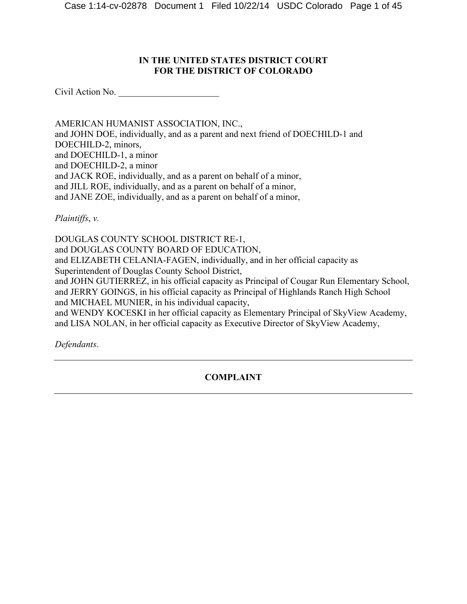# **IN THE UNITED STATES DISTRICT COURT FOR THE DISTRICT OF COLORADO**

Civil Action No. \_\_\_\_\_\_\_\_\_\_\_\_\_\_\_\_\_\_\_\_\_\_

AMERICAN HUMANIST ASSOCIATION, INC., and JOHN DOE, individually, and as a parent and next friend of DOECHILD-1 and DOECHILD-2, minors, and DOECHILD-1, a minor and DOECHILD-2, a minor and JACK ROE, individually, and as a parent on behalf of a minor, and JILL ROE, individually, and as a parent on behalf of a minor, and JANE ZOE, individually, and as a parent on behalf of a minor,

*Plaintiffs*, *v.*

DOUGLAS COUNTY SCHOOL DISTRICT RE-1, and DOUGLAS COUNTY BOARD OF EDUCATION, and ELIZABETH CELANIA-FAGEN, individually, and in her official capacity as Superintendent of Douglas County School District, and JOHN GUTIERREZ, in his official capacity as Principal of Cougar Run Elementary School, and JERRY GOINGS, in his official capacity as Principal of Highlands Ranch High School and MICHAEL MUNIER, in his individual capacity, and WENDY KOCESKI in her official capacity as Elementary Principal of SkyView Academy, and LISA NOLAN, in her official capacity as Executive Director of SkyView Academy,

*Defendants*.

**COMPLAINT**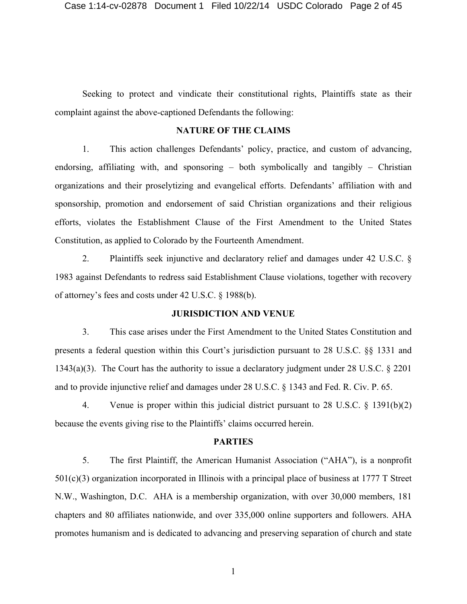Seeking to protect and vindicate their constitutional rights, Plaintiffs state as their complaint against the above-captioned Defendants the following:

## **NATURE OF THE CLAIMS**

1. This action challenges Defendants' policy, practice, and custom of advancing, endorsing, affiliating with, and sponsoring  $-$  both symbolically and tangibly  $-$  Christian organizations and their proselytizing and evangelical efforts. Defendants' affiliation with and sponsorship, promotion and endorsement of said Christian organizations and their religious efforts, violates the Establishment Clause of the First Amendment to the United States Constitution, as applied to Colorado by the Fourteenth Amendment.

2. Plaintiffs seek injunctive and declaratory relief and damages under 42 U.S.C. § 1983 against Defendants to redress said Establishment Clause violations, together with recovery of attorney's fees and costs under 42 U.S.C. § 1988(b).

#### **JURISDICTION AND VENUE**

3. This case arises under the First Amendment to the United States Constitution and presents a federal question within this Court's jurisdiction pursuant to 28 U.S.C. §§ 1331 and 1343(a)(3). The Court has the authority to issue a declaratory judgment under 28 U.S.C. § 2201 and to provide injunctive relief and damages under 28 U.S.C. § 1343 and Fed. R. Civ. P. 65.

4. Venue is proper within this judicial district pursuant to 28 U.S.C. § 1391(b)(2) because the events giving rise to the Plaintiffs' claims occurred herein.

#### **PARTIES**

5. The first Plaintiff, the American Humanist Association ("AHA"), is a nonprofit 501(c)(3) organization incorporated in Illinois with a principal place of business at 1777 T Street N.W., Washington, D.C. AHA is a membership organization, with over 30,000 members, 181 chapters and 80 affiliates nationwide, and over 335,000 online supporters and followers. AHA promotes humanism and is dedicated to advancing and preserving separation of church and state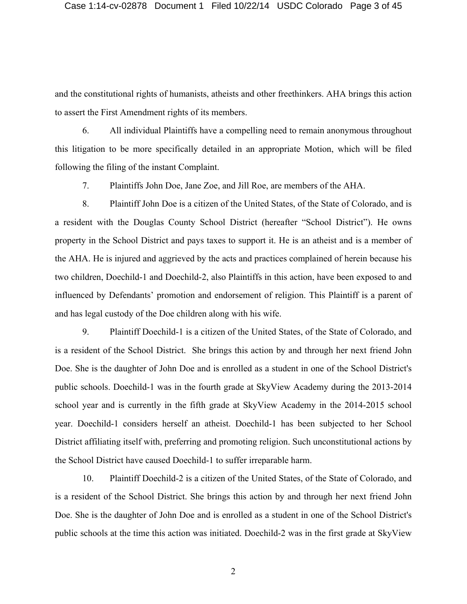and the constitutional rights of humanists, atheists and other freethinkers. AHA brings this action to assert the First Amendment rights of its members.

6. All individual Plaintiffs have a compelling need to remain anonymous throughout this litigation to be more specifically detailed in an appropriate Motion, which will be filed following the filing of the instant Complaint.

7. Plaintiffs John Doe, Jane Zoe, and Jill Roe, are members of the AHA.

8. Plaintiff John Doe is a citizen of the United States, of the State of Colorado, and is a resident with the Douglas County School District (hereafter "School District"). He owns property in the School District and pays taxes to support it. He is an atheist and is a member of the AHA. He is injured and aggrieved by the acts and practices complained of herein because his two children, Doechild-1 and Doechild-2, also Plaintiffs in this action, have been exposed to and influenced by Defendants' promotion and endorsement of religion. This Plaintiff is a parent of and has legal custody of the Doe children along with his wife.

9. Plaintiff Doechild-1 is a citizen of the United States, of the State of Colorado, and is a resident of the School District. She brings this action by and through her next friend John Doe. She is the daughter of John Doe and is enrolled as a student in one of the School District's public schools. Doechild-1 was in the fourth grade at SkyView Academy during the 2013-2014 school year and is currently in the fifth grade at SkyView Academy in the 2014-2015 school year. Doechild-1 considers herself an atheist. Doechild-1 has been subjected to her School District affiliating itself with, preferring and promoting religion. Such unconstitutional actions by the School District have caused Doechild-1 to suffer irreparable harm.

10. Plaintiff Doechild-2 is a citizen of the United States, of the State of Colorado, and is a resident of the School District. She brings this action by and through her next friend John Doe. She is the daughter of John Doe and is enrolled as a student in one of the School District's public schools at the time this action was initiated. Doechild-2 was in the first grade at SkyView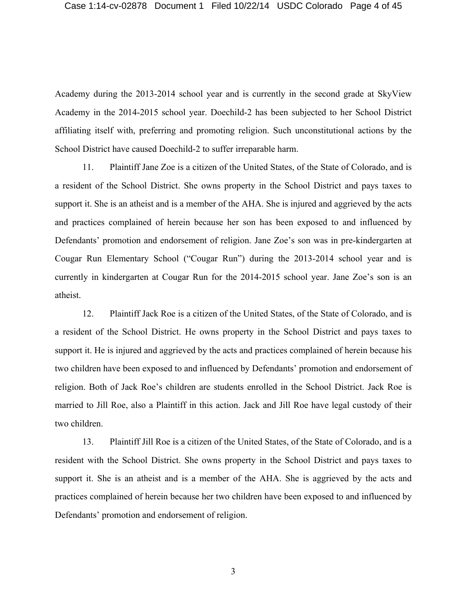Academy during the 2013-2014 school year and is currently in the second grade at SkyView Academy in the 2014-2015 school year. Doechild-2 has been subjected to her School District affiliating itself with, preferring and promoting religion. Such unconstitutional actions by the School District have caused Doechild-2 to suffer irreparable harm.

11. Plaintiff Jane Zoe is a citizen of the United States, of the State of Colorado, and is a resident of the School District. She owns property in the School District and pays taxes to support it. She is an atheist and is a member of the AHA. She is injured and aggrieved by the acts and practices complained of herein because her son has been exposed to and influenced by Defendants' promotion and endorsement of religion. Jane Zoe's son was in pre-kindergarten at Cougar Run Elementary School ("Cougar Run") during the 2013-2014 school year and is currently in kindergarten at Cougar Run for the 2014-2015 school year. Jane Zoe's son is an atheist.

12. Plaintiff Jack Roe is a citizen of the United States, of the State of Colorado, and is a resident of the School District. He owns property in the School District and pays taxes to support it. He is injured and aggrieved by the acts and practices complained of herein because his two children have been exposed to and influenced by Defendants' promotion and endorsement of religion. Both of Jack Roe's children are students enrolled in the School District. Jack Roe is married to Jill Roe, also a Plaintiff in this action. Jack and Jill Roe have legal custody of their two children.

13. Plaintiff Jill Roe is a citizen of the United States, of the State of Colorado, and is a resident with the School District. She owns property in the School District and pays taxes to support it. She is an atheist and is a member of the AHA. She is aggrieved by the acts and practices complained of herein because her two children have been exposed to and influenced by Defendants' promotion and endorsement of religion.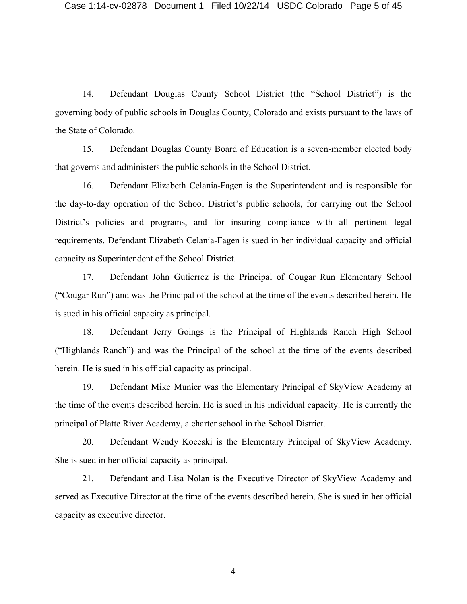14. Defendant Douglas County School District (the "School District") is the governing body of public schools in Douglas County, Colorado and exists pursuant to the laws of the State of Colorado.

15. Defendant Douglas County Board of Education is a seven-member elected body that governs and administers the public schools in the School District.

16. Defendant Elizabeth Celania-Fagen is the Superintendent and is responsible for the day-to-day operation of the School District's public schools, for carrying out the School District's policies and programs, and for insuring compliance with all pertinent legal requirements. Defendant Elizabeth Celania-Fagen is sued in her individual capacity and official capacity as Superintendent of the School District.

17. Defendant John Gutierrez is the Principal of Cougar Run Elementary School ("Cougar Run") and was the Principal of the school at the time of the events described herein. He is sued in his official capacity as principal.

18. Defendant Jerry Goings is the Principal of Highlands Ranch High School ("Highlands Ranch") and was the Principal of the school at the time of the events described herein. He is sued in his official capacity as principal.

19. Defendant Mike Munier was the Elementary Principal of SkyView Academy at the time of the events described herein. He is sued in his individual capacity. He is currently the principal of Platte River Academy, a charter school in the School District.

20. Defendant Wendy Koceski is the Elementary Principal of SkyView Academy. She is sued in her official capacity as principal.

21. Defendant and Lisa Nolan is the Executive Director of SkyView Academy and served as Executive Director at the time of the events described herein. She is sued in her official capacity as executive director.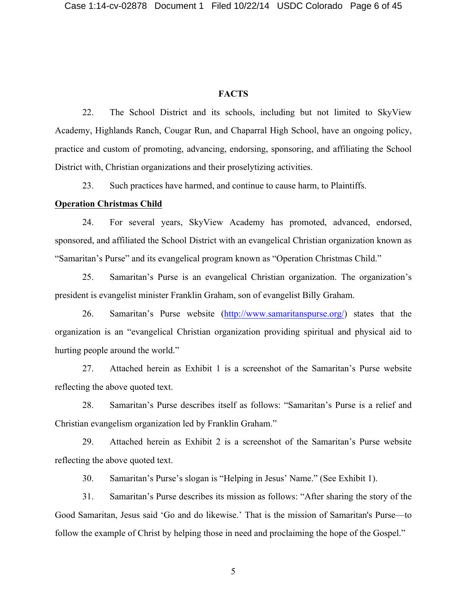### **FACTS**

22. The School District and its schools, including but not limited to SkyView Academy, Highlands Ranch, Cougar Run, and Chaparral High School, have an ongoing policy, practice and custom of promoting, advancing, endorsing, sponsoring, and affiliating the School District with, Christian organizations and their proselytizing activities.

23. Such practices have harmed, and continue to cause harm, to Plaintiffs.

### **Operation Christmas Child**

24. For several years, SkyView Academy has promoted, advanced, endorsed, sponsored, and affiliated the School District with an evangelical Christian organization known as "Samaritan's Purse" and its evangelical program known as "Operation Christmas Child."

25. Samaritan's Purse is an evangelical Christian organization. The organization's president is evangelist minister Franklin Graham, son of evangelist Billy Graham.

26. Samaritan's Purse website (http://www.samaritanspurse.org/) states that the organization is an "evangelical Christian organization providing spiritual and physical aid to hurting people around the world."

27. Attached herein as Exhibit 1 is a screenshot of the Samaritan's Purse website reflecting the above quoted text.

28. Samaritan's Purse describes itself as follows: "Samaritan's Purse is a relief and Christian evangelism organization led by Franklin Graham."

29. Attached herein as Exhibit 2 is a screenshot of the Samaritan's Purse website reflecting the above quoted text.

30. Samaritan's Purse's slogan is "Helping in Jesus' Name." (See Exhibit 1).

31. Samaritan's Purse describes its mission as follows: "After sharing the story of the Good Samaritan, Jesus said 'Go and do likewise.' That is the mission of Samaritan's Purse—to follow the example of Christ by helping those in need and proclaiming the hope of the Gospel."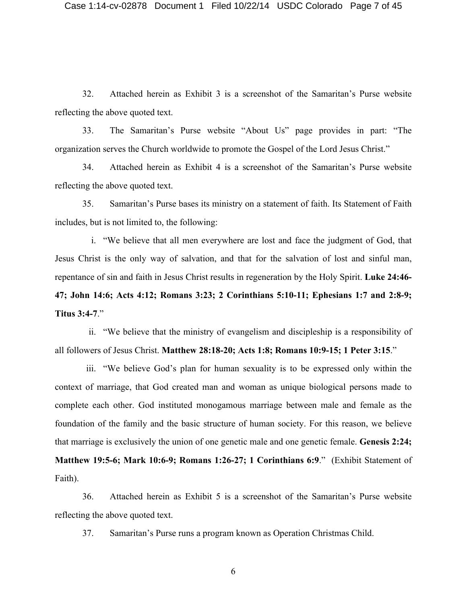32. Attached herein as Exhibit 3 is a screenshot of the Samaritan's Purse website reflecting the above quoted text.

33. The Samaritan's Purse website "About Us" page provides in part: "The organization serves the Church worldwide to promote the Gospel of the Lord Jesus Christ."

34. Attached herein as Exhibit 4 is a screenshot of the Samaritan's Purse website reflecting the above quoted text.

35. Samaritan's Purse bases its ministry on a statement of faith. Its Statement of Faith includes, but is not limited to, the following:

i. "We believe that all men everywhere are lost and face the judgment of God, that Jesus Christ is the only way of salvation, and that for the salvation of lost and sinful man, repentance of sin and faith in Jesus Christ results in regeneration by the Holy Spirit. **Luke 24:46- 47; John 14:6; Acts 4:12; Romans 3:23; 2 Corinthians 5:10-11; Ephesians 1:7 and 2:8-9; Titus 3:4-7**."

ii. "We believe that the ministry of evangelism and discipleship is a responsibility of all followers of Jesus Christ. **Matthew 28:18-20; Acts 1:8; Romans 10:9-15; 1 Peter 3:15**."

iii. "We believe God's plan for human sexuality is to be expressed only within the context of marriage, that God created man and woman as unique biological persons made to complete each other. God instituted monogamous marriage between male and female as the foundation of the family and the basic structure of human society. For this reason, we believe that marriage is exclusively the union of one genetic male and one genetic female. **Genesis 2:24; Matthew 19:5-6; Mark 10:6-9; Romans 1:26-27; 1 Corinthians 6:9**." (Exhibit Statement of Faith).

36. Attached herein as Exhibit 5 is a screenshot of the Samaritan's Purse website reflecting the above quoted text.

37. Samaritan's Purse runs a program known as Operation Christmas Child.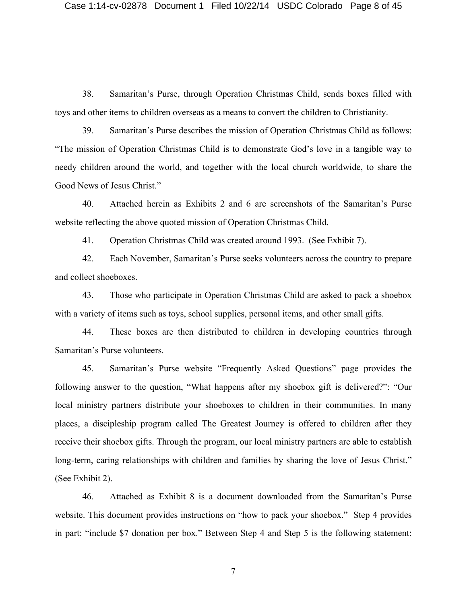38. Samaritan's Purse, through Operation Christmas Child, sends boxes filled with toys and other items to children overseas as a means to convert the children to Christianity.

39. Samaritan's Purse describes the mission of Operation Christmas Child as follows: "The mission of Operation Christmas Child is to demonstrate God's love in a tangible way to needy children around the world, and together with the local church worldwide, to share the Good News of Jesus Christ."

40. Attached herein as Exhibits 2 and 6 are screenshots of the Samaritan's Purse website reflecting the above quoted mission of Operation Christmas Child.

41. Operation Christmas Child was created around 1993. (See Exhibit 7).

42. Each November, Samaritan's Purse seeks volunteers across the country to prepare and collect shoeboxes.

43. Those who participate in Operation Christmas Child are asked to pack a shoebox with a variety of items such as toys, school supplies, personal items, and other small gifts.

44. These boxes are then distributed to children in developing countries through Samaritan's Purse volunteers.

45. Samaritan's Purse website "Frequently Asked Questions" page provides the following answer to the question, "What happens after my shoebox gift is delivered?": "Our local ministry partners distribute your shoeboxes to children in their communities. In many places, a discipleship program called The Greatest Journey is offered to children after they receive their shoebox gifts. Through the program, our local ministry partners are able to establish long-term, caring relationships with children and families by sharing the love of Jesus Christ." (See Exhibit 2).

46. Attached as Exhibit 8 is a document downloaded from the Samaritan's Purse website. This document provides instructions on "how to pack your shoebox." Step 4 provides in part: "include \$7 donation per box." Between Step 4 and Step 5 is the following statement: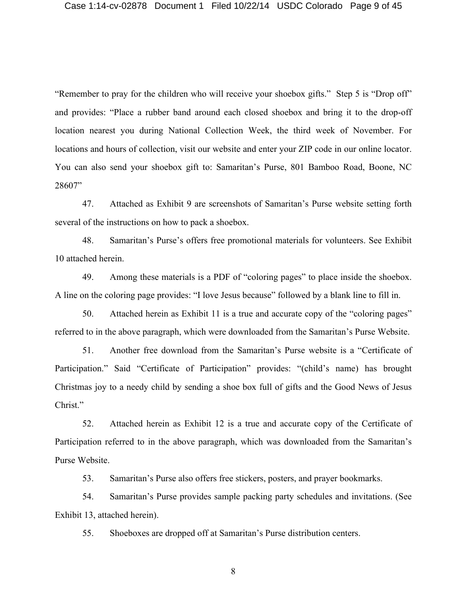"Remember to pray for the children who will receive your shoebox gifts." Step 5 is "Drop off" and provides: "Place a rubber band around each closed shoebox and bring it to the drop-off location nearest you during National Collection Week, the third week of November. For locations and hours of collection, visit our website and enter your ZIP code in our online locator. You can also send your shoebox gift to: Samaritan's Purse, 801 Bamboo Road, Boone, NC 28607"

47. Attached as Exhibit 9 are screenshots of Samaritan's Purse website setting forth several of the instructions on how to pack a shoebox.

48. Samaritan's Purse's offers free promotional materials for volunteers. See Exhibit 10 attached herein.

49. Among these materials is a PDF of "coloring pages" to place inside the shoebox. A line on the coloring page provides: "I love Jesus because" followed by a blank line to fill in.

50. Attached herein as Exhibit 11 is a true and accurate copy of the "coloring pages" referred to in the above paragraph, which were downloaded from the Samaritan's Purse Website.

51. Another free download from the Samaritan's Purse website is a "Certificate of Participation." Said "Certificate of Participation" provides: "(child's name) has brought Christmas joy to a needy child by sending a shoe box full of gifts and the Good News of Jesus Christ."

52. Attached herein as Exhibit 12 is a true and accurate copy of the Certificate of Participation referred to in the above paragraph, which was downloaded from the Samaritan's Purse Website.

53. Samaritan's Purse also offers free stickers, posters, and prayer bookmarks.

54. Samaritan's Purse provides sample packing party schedules and invitations. (See Exhibit 13, attached herein).

55. Shoeboxes are dropped off at Samaritan's Purse distribution centers.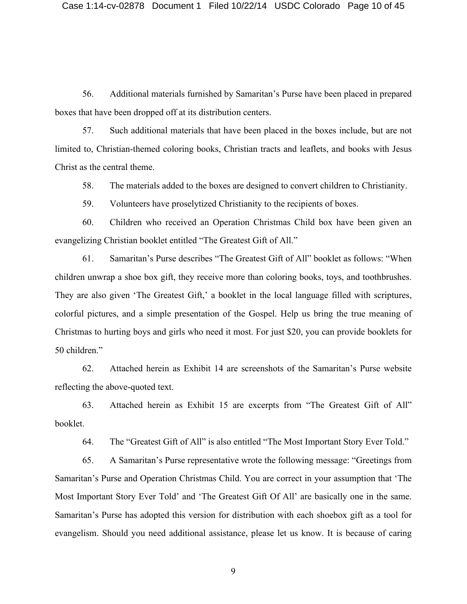56. Additional materials furnished by Samaritan's Purse have been placed in prepared boxes that have been dropped off at its distribution centers.

57. Such additional materials that have been placed in the boxes include, but are not limited to, Christian-themed coloring books, Christian tracts and leaflets, and books with Jesus Christ as the central theme.

58. The materials added to the boxes are designed to convert children to Christianity.

59. Volunteers have proselytized Christianity to the recipients of boxes.

60. Children who received an Operation Christmas Child box have been given an evangelizing Christian booklet entitled "The Greatest Gift of All."

61. Samaritan's Purse describes "The Greatest Gift of All" booklet as follows: "When children unwrap a shoe box gift, they receive more than coloring books, toys, and toothbrushes. They are also given 'The Greatest Gift,' a booklet in the local language filled with scriptures, colorful pictures, and a simple presentation of the Gospel. Help us bring the true meaning of Christmas to hurting boys and girls who need it most. For just \$20, you can provide booklets for 50 children."

62. Attached herein as Exhibit 14 are screenshots of the Samaritan's Purse website reflecting the above-quoted text.

63. Attached herein as Exhibit 15 are excerpts from "The Greatest Gift of All" booklet.

64. The "Greatest Gift of All" is also entitled "The Most Important Story Ever Told."

65. A Samaritan's Purse representative wrote the following message: "Greetings from Samaritan's Purse and Operation Christmas Child. You are correct in your assumption that 'The Most Important Story Ever Told' and 'The Greatest Gift Of All' are basically one in the same. Samaritan's Purse has adopted this version for distribution with each shoebox gift as a tool for evangelism. Should you need additional assistance, please let us know. It is because of caring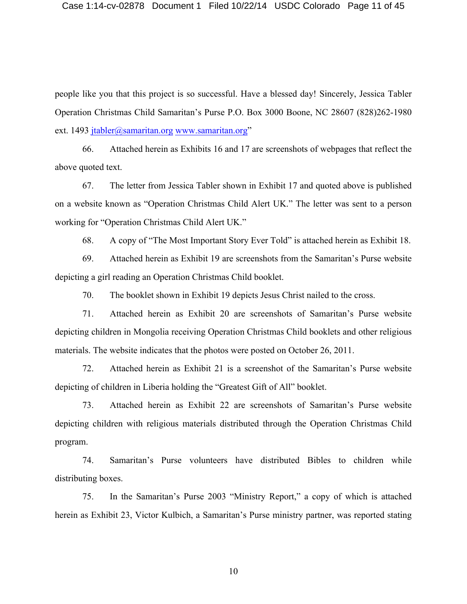people like you that this project is so successful. Have a blessed day! Sincerely, Jessica Tabler Operation Christmas Child Samaritan's Purse P.O. Box 3000 Boone, NC 28607 (828)262-1980 ext. 1493 jtabler@samaritan.org www.samaritan.org"

66. Attached herein as Exhibits 16 and 17 are screenshots of webpages that reflect the above quoted text.

67. The letter from Jessica Tabler shown in Exhibit 17 and quoted above is published on a website known as "Operation Christmas Child Alert UK." The letter was sent to a person working for "Operation Christmas Child Alert UK."

68. A copy of "The Most Important Story Ever Told" is attached herein as Exhibit 18.

69. Attached herein as Exhibit 19 are screenshots from the Samaritan's Purse website depicting a girl reading an Operation Christmas Child booklet.

70. The booklet shown in Exhibit 19 depicts Jesus Christ nailed to the cross.

71. Attached herein as Exhibit 20 are screenshots of Samaritan's Purse website depicting children in Mongolia receiving Operation Christmas Child booklets and other religious materials. The website indicates that the photos were posted on October 26, 2011.

72. Attached herein as Exhibit 21 is a screenshot of the Samaritan's Purse website depicting of children in Liberia holding the "Greatest Gift of All" booklet.

73. Attached herein as Exhibit 22 are screenshots of Samaritan's Purse website depicting children with religious materials distributed through the Operation Christmas Child program.

74. Samaritan's Purse volunteers have distributed Bibles to children while distributing boxes.

75. In the Samaritan's Purse 2003 "Ministry Report," a copy of which is attached herein as Exhibit 23, Victor Kulbich, a Samaritan's Purse ministry partner, was reported stating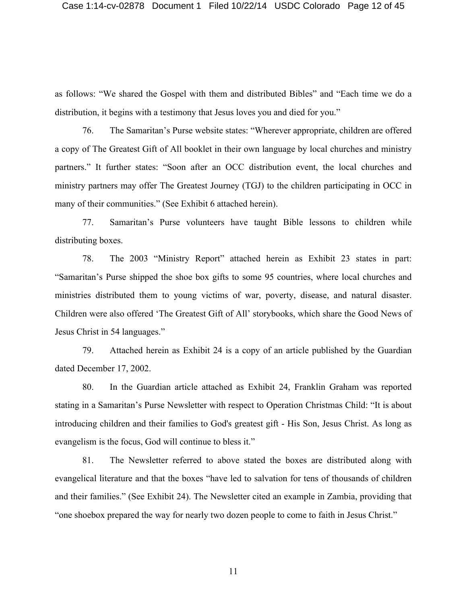as follows: "We shared the Gospel with them and distributed Bibles" and "Each time we do a distribution, it begins with a testimony that Jesus loves you and died for you."

76. The Samaritan's Purse website states: "Wherever appropriate, children are offered a copy of The Greatest Gift of All booklet in their own language by local churches and ministry partners." It further states: "Soon after an OCC distribution event, the local churches and ministry partners may offer The Greatest Journey (TGJ) to the children participating in OCC in many of their communities." (See Exhibit 6 attached herein).

77. Samaritan's Purse volunteers have taught Bible lessons to children while distributing boxes.

78. The 2003 "Ministry Report" attached herein as Exhibit 23 states in part: "Samaritan's Purse shipped the shoe box gifts to some 95 countries, where local churches and ministries distributed them to young victims of war, poverty, disease, and natural disaster. Children were also offered 'The Greatest Gift of All' storybooks, which share the Good News of Jesus Christ in 54 languages."

79. Attached herein as Exhibit 24 is a copy of an article published by the Guardian dated December 17, 2002.

80. In the Guardian article attached as Exhibit 24, Franklin Graham was reported stating in a Samaritan's Purse Newsletter with respect to Operation Christmas Child: "It is about introducing children and their families to God's greatest gift - His Son, Jesus Christ. As long as evangelism is the focus, God will continue to bless it."

81. The Newsletter referred to above stated the boxes are distributed along with evangelical literature and that the boxes "have led to salvation for tens of thousands of children and their families." (See Exhibit 24). The Newsletter cited an example in Zambia, providing that "one shoebox prepared the way for nearly two dozen people to come to faith in Jesus Christ."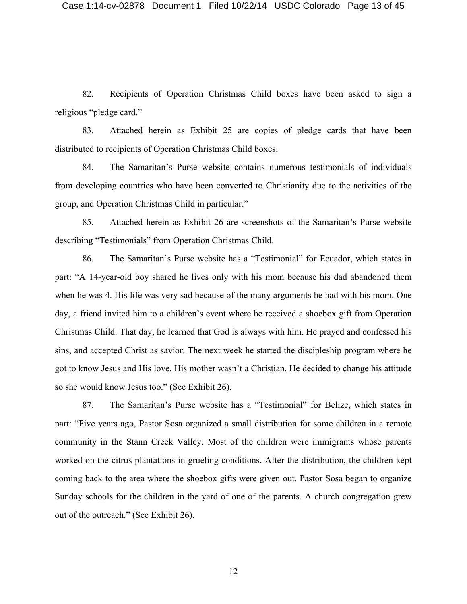82. Recipients of Operation Christmas Child boxes have been asked to sign a religious "pledge card."

83. Attached herein as Exhibit 25 are copies of pledge cards that have been distributed to recipients of Operation Christmas Child boxes.

84. The Samaritan's Purse website contains numerous testimonials of individuals from developing countries who have been converted to Christianity due to the activities of the group, and Operation Christmas Child in particular."

85. Attached herein as Exhibit 26 are screenshots of the Samaritan's Purse website describing "Testimonials" from Operation Christmas Child.

86. The Samaritan's Purse website has a "Testimonial" for Ecuador, which states in part: "A 14-year-old boy shared he lives only with his mom because his dad abandoned them when he was 4. His life was very sad because of the many arguments he had with his mom. One day, a friend invited him to a children's event where he received a shoebox gift from Operation Christmas Child. That day, he learned that God is always with him. He prayed and confessed his sins, and accepted Christ as savior. The next week he started the discipleship program where he got to know Jesus and His love. His mother wasn't a Christian. He decided to change his attitude so she would know Jesus too." (See Exhibit 26).

87. The Samaritan's Purse website has a "Testimonial" for Belize, which states in part: "Five years ago, Pastor Sosa organized a small distribution for some children in a remote community in the Stann Creek Valley. Most of the children were immigrants whose parents worked on the citrus plantations in grueling conditions. After the distribution, the children kept coming back to the area where the shoebox gifts were given out. Pastor Sosa began to organize Sunday schools for the children in the yard of one of the parents. A church congregation grew out of the outreach." (See Exhibit 26).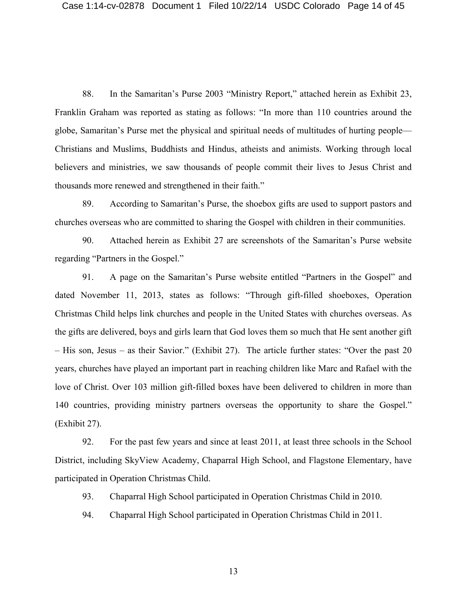88. In the Samaritan's Purse 2003 "Ministry Report," attached herein as Exhibit 23, Franklin Graham was reported as stating as follows: "In more than 110 countries around the globe, Samaritan's Purse met the physical and spiritual needs of multitudes of hurting people— Christians and Muslims, Buddhists and Hindus, atheists and animists. Working through local believers and ministries, we saw thousands of people commit their lives to Jesus Christ and thousands more renewed and strengthened in their faith."

89. According to Samaritan's Purse, the shoebox gifts are used to support pastors and churches overseas who are committed to sharing the Gospel with children in their communities.

90. Attached herein as Exhibit 27 are screenshots of the Samaritan's Purse website regarding "Partners in the Gospel."

91. A page on the Samaritan's Purse website entitled "Partners in the Gospel" and dated November 11, 2013, states as follows: "Through gift-filled shoeboxes, Operation Christmas Child helps link churches and people in the United States with churches overseas. As the gifts are delivered, boys and girls learn that God loves them so much that He sent another gift – His son, Jesus – as their Savior." (Exhibit 27). The article further states: "Over the past 20 years, churches have played an important part in reaching children like Marc and Rafael with the love of Christ. Over 103 million gift-filled boxes have been delivered to children in more than 140 countries, providing ministry partners overseas the opportunity to share the Gospel." (Exhibit 27).

92. For the past few years and since at least 2011, at least three schools in the School District, including SkyView Academy, Chaparral High School, and Flagstone Elementary, have participated in Operation Christmas Child.

93. Chaparral High School participated in Operation Christmas Child in 2010.

94. Chaparral High School participated in Operation Christmas Child in 2011.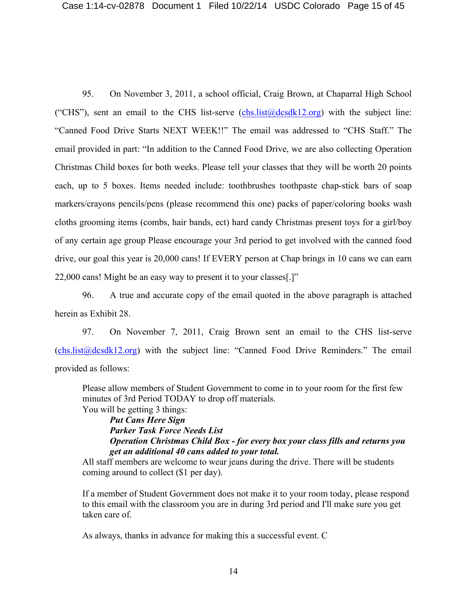95. On November 3, 2011, a school official, Craig Brown, at Chaparral High School ("CHS"), sent an email to the CHS list-serve  $(chs.list@dcsdk12.org)$  with the subject line: "Canned Food Drive Starts NEXT WEEK!!" The email was addressed to "CHS Staff." The email provided in part: "In addition to the Canned Food Drive, we are also collecting Operation Christmas Child boxes for both weeks. Please tell your classes that they will be worth 20 points each, up to 5 boxes. Items needed include: toothbrushes toothpaste chap-stick bars of soap markers/crayons pencils/pens (please recommend this one) packs of paper/coloring books wash cloths grooming items (combs, hair bands, ect) hard candy Christmas present toys for a girl/boy of any certain age group Please encourage your 3rd period to get involved with the canned food drive, our goal this year is 20,000 cans! If EVERY person at Chap brings in 10 cans we can earn 22,000 cans! Might be an easy way to present it to your classes[.]"

96. A true and accurate copy of the email quoted in the above paragraph is attached herein as Exhibit 28.

97. On November 7, 2011, Craig Brown sent an email to the CHS list-serve  $(chs. list@dcsdk12.org)$  with the subject line: "Canned Food Drive Reminders." The email provided as follows:

Please allow members of Student Government to come in to your room for the first few minutes of 3rd Period TODAY to drop off materials.

You will be getting 3 things:

*Put Cans Here Sign Parker Task Force Needs List Operation Christmas Child Box - for every box your class fills and returns you get an additional 40 cans added to your total.*

All staff members are welcome to wear jeans during the drive. There will be students coming around to collect (\$1 per day).

If a member of Student Government does not make it to your room today, please respond to this email with the classroom you are in during 3rd period and I'll make sure you get taken care of.

As always, thanks in advance for making this a successful event. C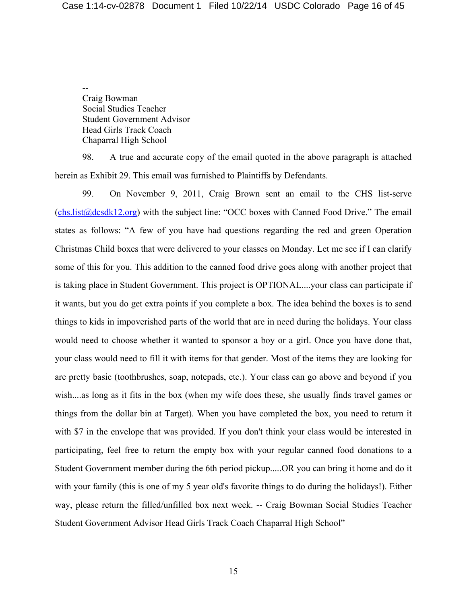-- Craig Bowman Social Studies Teacher Student Government Advisor Head Girls Track Coach Chaparral High School

98. A true and accurate copy of the email quoted in the above paragraph is attached herein as Exhibit 29. This email was furnished to Plaintiffs by Defendants.

99. On November 9, 2011, Craig Brown sent an email to the CHS list-serve (chs.list@dcsdk12.org) with the subject line: "OCC boxes with Canned Food Drive." The email states as follows: "A few of you have had questions regarding the red and green Operation Christmas Child boxes that were delivered to your classes on Monday. Let me see if I can clarify some of this for you. This addition to the canned food drive goes along with another project that is taking place in Student Government. This project is OPTIONAL....your class can participate if it wants, but you do get extra points if you complete a box. The idea behind the boxes is to send things to kids in impoverished parts of the world that are in need during the holidays. Your class would need to choose whether it wanted to sponsor a boy or a girl. Once you have done that, your class would need to fill it with items for that gender. Most of the items they are looking for are pretty basic (toothbrushes, soap, notepads, etc.). Your class can go above and beyond if you wish....as long as it fits in the box (when my wife does these, she usually finds travel games or things from the dollar bin at Target). When you have completed the box, you need to return it with \$7 in the envelope that was provided. If you don't think your class would be interested in participating, feel free to return the empty box with your regular canned food donations to a Student Government member during the 6th period pickup.....OR you can bring it home and do it with your family (this is one of my 5 year old's favorite things to do during the holidays!). Either way, please return the filled/unfilled box next week. -- Craig Bowman Social Studies Teacher Student Government Advisor Head Girls Track Coach Chaparral High School"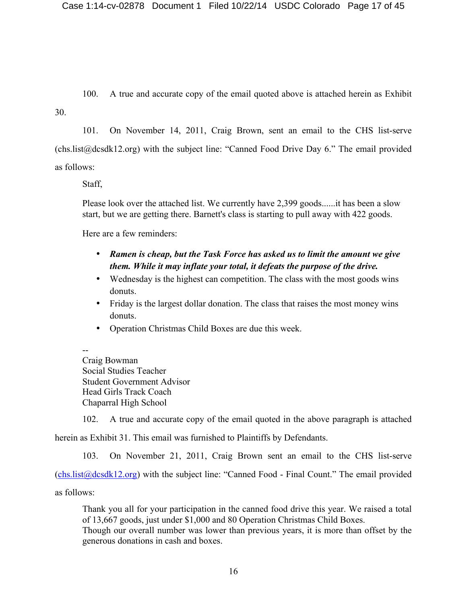100. A true and accurate copy of the email quoted above is attached herein as Exhibit

30.

101. On November 14, 2011, Craig Brown, sent an email to the CHS list-serve (chs.list@dcsdk12.org) with the subject line: "Canned Food Drive Day 6." The email provided as follows:

Staff,

Please look over the attached list. We currently have 2,399 goods......it has been a slow start, but we are getting there. Barnett's class is starting to pull away with 422 goods.

Here are a few reminders:

- *Ramen is cheap, but the Task Force has asked us to limit the amount we give them. While it may inflate your total, it defeats the purpose of the drive.*
- Wednesday is the highest can competition. The class with the most goods wins donuts.
- Friday is the largest dollar donation. The class that raises the most money wins donuts.
- Operation Christmas Child Boxes are due this week.

--

Craig Bowman Social Studies Teacher Student Government Advisor Head Girls Track Coach Chaparral High School

102. A true and accurate copy of the email quoted in the above paragraph is attached herein as Exhibit 31. This email was furnished to Plaintiffs by Defendants.

103. On November 21, 2011, Craig Brown sent an email to the CHS list-serve (chs.list@dcsdk12.org) with the subject line: "Canned Food - Final Count." The email provided as follows:

Thank you all for your participation in the canned food drive this year. We raised a total of 13,667 goods, just under \$1,000 and 80 Operation Christmas Child Boxes. Though our overall number was lower than previous years, it is more than offset by the generous donations in cash and boxes.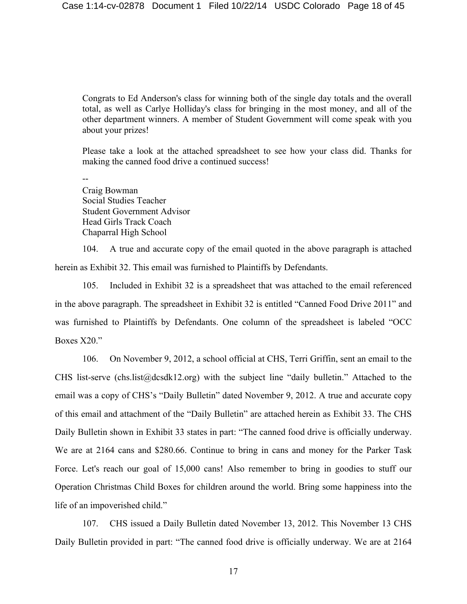Congrats to Ed Anderson's class for winning both of the single day totals and the overall total, as well as Carlye Holliday's class for bringing in the most money, and all of the other department winners. A member of Student Government will come speak with you about your prizes!

Please take a look at the attached spreadsheet to see how your class did. Thanks for making the canned food drive a continued success!

--

Craig Bowman Social Studies Teacher Student Government Advisor Head Girls Track Coach Chaparral High School

104. A true and accurate copy of the email quoted in the above paragraph is attached herein as Exhibit 32. This email was furnished to Plaintiffs by Defendants.

105. Included in Exhibit 32 is a spreadsheet that was attached to the email referenced in the above paragraph. The spreadsheet in Exhibit 32 is entitled "Canned Food Drive 2011" and was furnished to Plaintiffs by Defendants. One column of the spreadsheet is labeled "OCC Boxes X20."

106. On November 9, 2012, a school official at CHS, Terri Griffin, sent an email to the CHS list-serve (chs.list@dcsdk12.org) with the subject line "daily bulletin." Attached to the email was a copy of CHS's "Daily Bulletin" dated November 9, 2012. A true and accurate copy of this email and attachment of the "Daily Bulletin" are attached herein as Exhibit 33. The CHS Daily Bulletin shown in Exhibit 33 states in part: "The canned food drive is officially underway. We are at 2164 cans and \$280.66. Continue to bring in cans and money for the Parker Task Force. Let's reach our goal of 15,000 cans! Also remember to bring in goodies to stuff our Operation Christmas Child Boxes for children around the world. Bring some happiness into the life of an impoverished child."

107. CHS issued a Daily Bulletin dated November 13, 2012. This November 13 CHS Daily Bulletin provided in part: "The canned food drive is officially underway. We are at 2164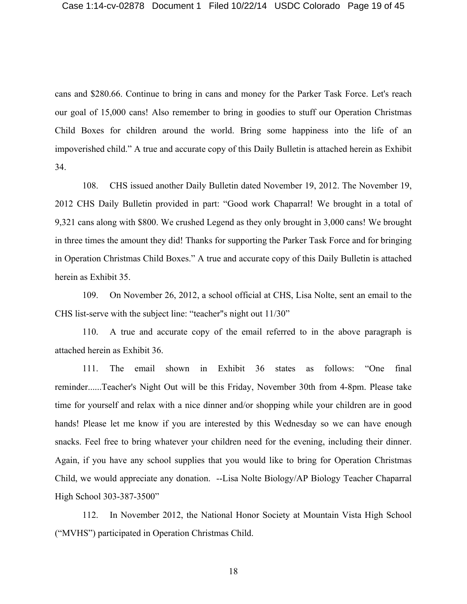cans and \$280.66. Continue to bring in cans and money for the Parker Task Force. Let's reach our goal of 15,000 cans! Also remember to bring in goodies to stuff our Operation Christmas Child Boxes for children around the world. Bring some happiness into the life of an impoverished child." A true and accurate copy of this Daily Bulletin is attached herein as Exhibit 34.

108. CHS issued another Daily Bulletin dated November 19, 2012. The November 19, 2012 CHS Daily Bulletin provided in part: "Good work Chaparral! We brought in a total of 9,321 cans along with \$800. We crushed Legend as they only brought in 3,000 cans! We brought in three times the amount they did! Thanks for supporting the Parker Task Force and for bringing in Operation Christmas Child Boxes." A true and accurate copy of this Daily Bulletin is attached herein as Exhibit 35.

109. On November 26, 2012, a school official at CHS, Lisa Nolte, sent an email to the CHS list-serve with the subject line: "teacher"s night out 11/30"

110. A true and accurate copy of the email referred to in the above paragraph is attached herein as Exhibit 36.

111. The email shown in Exhibit 36 states as follows: "One final reminder......Teacher's Night Out will be this Friday, November 30th from 4-8pm. Please take time for yourself and relax with a nice dinner and/or shopping while your children are in good hands! Please let me know if you are interested by this Wednesday so we can have enough snacks. Feel free to bring whatever your children need for the evening, including their dinner. Again, if you have any school supplies that you would like to bring for Operation Christmas Child, we would appreciate any donation. --Lisa Nolte Biology/AP Biology Teacher Chaparral High School 303-387-3500"

112. In November 2012, the National Honor Society at Mountain Vista High School ("MVHS") participated in Operation Christmas Child.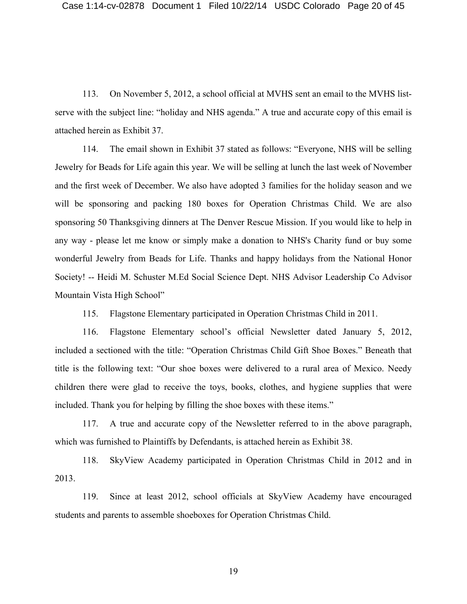113. On November 5, 2012, a school official at MVHS sent an email to the MVHS listserve with the subject line: "holiday and NHS agenda." A true and accurate copy of this email is attached herein as Exhibit 37.

114. The email shown in Exhibit 37 stated as follows: "Everyone, NHS will be selling Jewelry for Beads for Life again this year. We will be selling at lunch the last week of November and the first week of December. We also have adopted 3 families for the holiday season and we will be sponsoring and packing 180 boxes for Operation Christmas Child. We are also sponsoring 50 Thanksgiving dinners at The Denver Rescue Mission. If you would like to help in any way - please let me know or simply make a donation to NHS's Charity fund or buy some wonderful Jewelry from Beads for Life. Thanks and happy holidays from the National Honor Society! -- Heidi M. Schuster M.Ed Social Science Dept. NHS Advisor Leadership Co Advisor Mountain Vista High School"

115. Flagstone Elementary participated in Operation Christmas Child in 2011.

116. Flagstone Elementary school's official Newsletter dated January 5, 2012, included a sectioned with the title: "Operation Christmas Child Gift Shoe Boxes." Beneath that title is the following text: "Our shoe boxes were delivered to a rural area of Mexico. Needy children there were glad to receive the toys, books, clothes, and hygiene supplies that were included. Thank you for helping by filling the shoe boxes with these items."

117. A true and accurate copy of the Newsletter referred to in the above paragraph, which was furnished to Plaintiffs by Defendants, is attached herein as Exhibit 38.

118. SkyView Academy participated in Operation Christmas Child in 2012 and in 2013.

119. Since at least 2012, school officials at SkyView Academy have encouraged students and parents to assemble shoeboxes for Operation Christmas Child.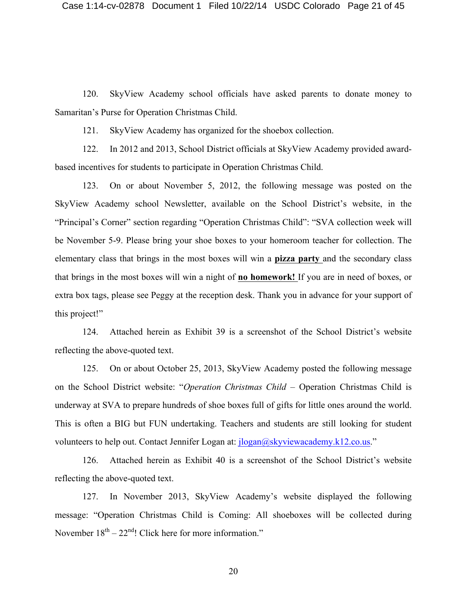120. SkyView Academy school officials have asked parents to donate money to Samaritan's Purse for Operation Christmas Child.

121. SkyView Academy has organized for the shoebox collection.

122. In 2012 and 2013, School District officials at SkyView Academy provided awardbased incentives for students to participate in Operation Christmas Child.

123. On or about November 5, 2012, the following message was posted on the SkyView Academy school Newsletter, available on the School District's website, in the "Principal's Corner" section regarding "Operation Christmas Child": "SVA collection week will be November 5-9. Please bring your shoe boxes to your homeroom teacher for collection. The elementary class that brings in the most boxes will win a **pizza party** and the secondary class that brings in the most boxes will win a night of **no homework!** If you are in need of boxes, or extra box tags, please see Peggy at the reception desk. Thank you in advance for your support of this project!"

124. Attached herein as Exhibit 39 is a screenshot of the School District's website reflecting the above-quoted text.

125. On or about October 25, 2013, SkyView Academy posted the following message on the School District website: "*Operation Christmas Child* – Operation Christmas Child is underway at SVA to prepare hundreds of shoe boxes full of gifts for little ones around the world. This is often a BIG but FUN undertaking. Teachers and students are still looking for student volunteers to help out. Contact Jennifer Logan at: jlogan@skyviewacademy.k12.co.us."

126. Attached herein as Exhibit 40 is a screenshot of the School District's website reflecting the above-quoted text.

127. In November 2013, SkyView Academy's website displayed the following message: "Operation Christmas Child is Coming: All shoeboxes will be collected during November  $18<sup>th</sup> - 22<sup>nd</sup>$ ! Click here for more information."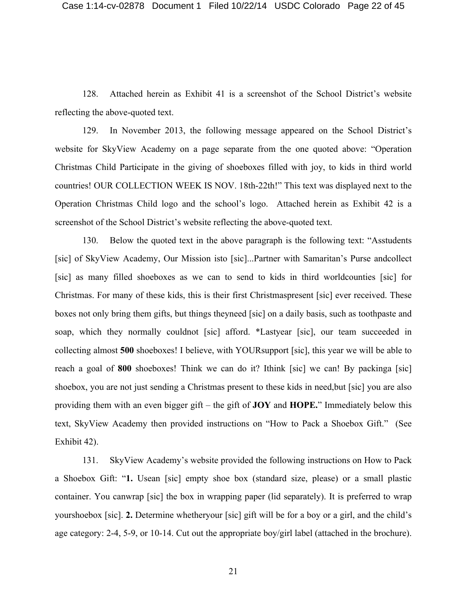128. Attached herein as Exhibit 41 is a screenshot of the School District's website reflecting the above-quoted text.

129. In November 2013, the following message appeared on the School District's website for SkyView Academy on a page separate from the one quoted above: "Operation Christmas Child Participate in the giving of shoeboxes filled with joy, to kids in third world countries! OUR COLLECTION WEEK IS NOV. 18th-22th!" This text was displayed next to the Operation Christmas Child logo and the school's logo. Attached herein as Exhibit 42 is a screenshot of the School District's website reflecting the above-quoted text.

130. Below the quoted text in the above paragraph is the following text: "Asstudents [sic] of SkyView Academy, Our Mission isto [sic]...Partner with Samaritan's Purse andcollect [sic] as many filled shoeboxes as we can to send to kids in third worldcounties [sic] for Christmas. For many of these kids, this is their first Christmaspresent [sic] ever received. These boxes not only bring them gifts, but things theyneed [sic] on a daily basis, such as toothpaste and soap, which they normally couldnot [sic] afford. \*Lastyear [sic], our team succeeded in collecting almost **500** shoeboxes! I believe, with YOURsupport [sic], this year we will be able to reach a goal of **800** shoeboxes! Think we can do it? Ithink [sic] we can! By packinga [sic] shoebox, you are not just sending a Christmas present to these kids in need,but [sic] you are also providing them with an even bigger gift – the gift of **JOY** and **HOPE.**" Immediately below this text, SkyView Academy then provided instructions on "How to Pack a Shoebox Gift." (See Exhibit 42).

131. SkyView Academy's website provided the following instructions on How to Pack a Shoebox Gift: "**1.** Usean [sic] empty shoe box (standard size, please) or a small plastic container. You canwrap [sic] the box in wrapping paper (lid separately). It is preferred to wrap yourshoebox [sic]. **2.** Determine whetheryour [sic] gift will be for a boy or a girl, and the child's age category: 2-4, 5-9, or 10-14. Cut out the appropriate boy/girl label (attached in the brochure).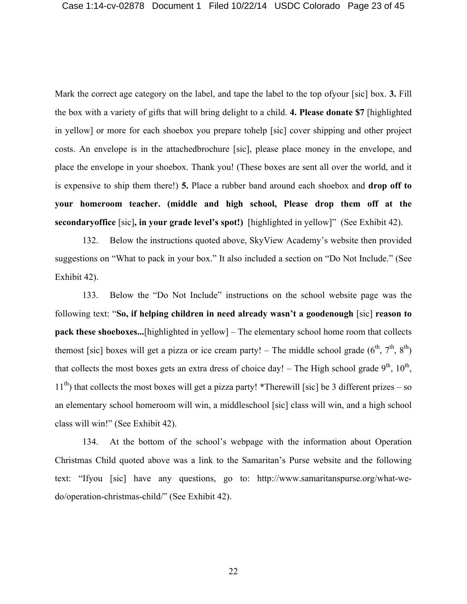Mark the correct age category on the label, and tape the label to the top ofyour [sic] box. **3.** Fill the box with a variety of gifts that will bring delight to a child. **4. Please donate \$7** [highlighted in yellow] or more for each shoebox you prepare tohelp [sic] cover shipping and other project costs. An envelope is in the attachedbrochure [sic], please place money in the envelope, and place the envelope in your shoebox. Thank you! (These boxes are sent all over the world, and it is expensive to ship them there!) **5.** Place a rubber band around each shoebox and **drop off to your homeroom teacher. (middle and high school, Please drop them off at the secondaryoffice** [sic]**, in your grade level's spot!)** [highlighted in yellow]" (See Exhibit 42).

132. Below the instructions quoted above, SkyView Academy's website then provided suggestions on "What to pack in your box." It also included a section on "Do Not Include." (See Exhibit 42).

133. Below the "Do Not Include" instructions on the school website page was the following text: "**So, if helping children in need already wasn't a goodenough** [sic] **reason to pack these shoeboxes...**[highlighted in yellow] – The elementary school home room that collects themost [sic] boxes will get a pizza or ice cream party! – The middle school grade  $(6^{th}, 7^{th}, 8^{th})$ that collects the most boxes gets an extra dress of choice day! – The High school grade  $9<sup>th</sup>$ ,  $10<sup>th</sup>$ ,  $11<sup>th</sup>$ ) that collects the most boxes will get a pizza party! \*Therewill [sic] be 3 different prizes – so an elementary school homeroom will win, a middleschool [sic] class will win, and a high school class will win!" (See Exhibit 42).

134. At the bottom of the school's webpage with the information about Operation Christmas Child quoted above was a link to the Samaritan's Purse website and the following text: "Ifyou [sic] have any questions, go to: http://www.samaritanspurse.org/what-wedo/operation-christmas-child/" (See Exhibit 42).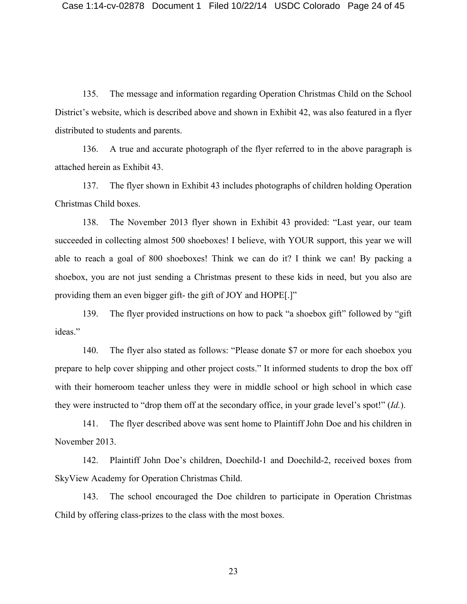135. The message and information regarding Operation Christmas Child on the School District's website, which is described above and shown in Exhibit 42, was also featured in a flyer distributed to students and parents.

136. A true and accurate photograph of the flyer referred to in the above paragraph is attached herein as Exhibit 43.

137. The flyer shown in Exhibit 43 includes photographs of children holding Operation Christmas Child boxes.

138. The November 2013 flyer shown in Exhibit 43 provided: "Last year, our team succeeded in collecting almost 500 shoeboxes! I believe, with YOUR support, this year we will able to reach a goal of 800 shoeboxes! Think we can do it? I think we can! By packing a shoebox, you are not just sending a Christmas present to these kids in need, but you also are providing them an even bigger gift- the gift of JOY and HOPE[.]"

139. The flyer provided instructions on how to pack "a shoebox gift" followed by "gift ideas."

140. The flyer also stated as follows: "Please donate \$7 or more for each shoebox you prepare to help cover shipping and other project costs." It informed students to drop the box off with their homeroom teacher unless they were in middle school or high school in which case they were instructed to "drop them off at the secondary office, in your grade level's spot!" (*Id.*).

141. The flyer described above was sent home to Plaintiff John Doe and his children in November 2013.

142. Plaintiff John Doe's children, Doechild-1 and Doechild-2, received boxes from SkyView Academy for Operation Christmas Child.

143. The school encouraged the Doe children to participate in Operation Christmas Child by offering class-prizes to the class with the most boxes.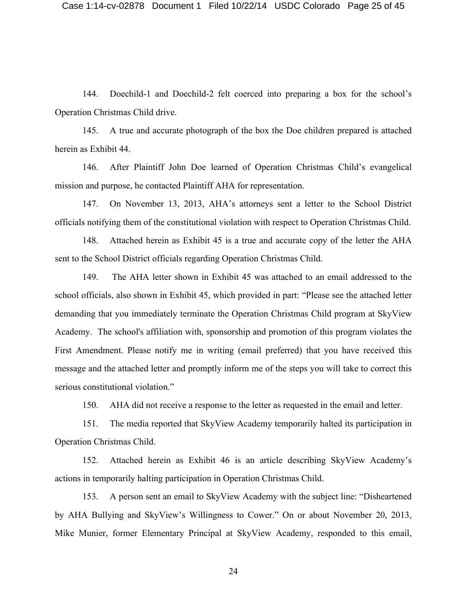144. Doechild-1 and Doechild-2 felt coerced into preparing a box for the school's Operation Christmas Child drive.

145. A true and accurate photograph of the box the Doe children prepared is attached herein as Exhibit 44.

146. After Plaintiff John Doe learned of Operation Christmas Child's evangelical mission and purpose, he contacted Plaintiff AHA for representation.

147. On November 13, 2013, AHA's attorneys sent a letter to the School District officials notifying them of the constitutional violation with respect to Operation Christmas Child.

148. Attached herein as Exhibit 45 is a true and accurate copy of the letter the AHA sent to the School District officials regarding Operation Christmas Child.

149. The AHA letter shown in Exhibit 45 was attached to an email addressed to the school officials, also shown in Exhibit 45, which provided in part: "Please see the attached letter demanding that you immediately terminate the Operation Christmas Child program at SkyView Academy. The school's affiliation with, sponsorship and promotion of this program violates the First Amendment. Please notify me in writing (email preferred) that you have received this message and the attached letter and promptly inform me of the steps you will take to correct this serious constitutional violation."

150. AHA did not receive a response to the letter as requested in the email and letter.

151. The media reported that SkyView Academy temporarily halted its participation in Operation Christmas Child.

152. Attached herein as Exhibit 46 is an article describing SkyView Academy's actions in temporarily halting participation in Operation Christmas Child.

153. A person sent an email to SkyView Academy with the subject line: "Disheartened by AHA Bullying and SkyView's Willingness to Cower." On or about November 20, 2013, Mike Munier, former Elementary Principal at SkyView Academy, responded to this email,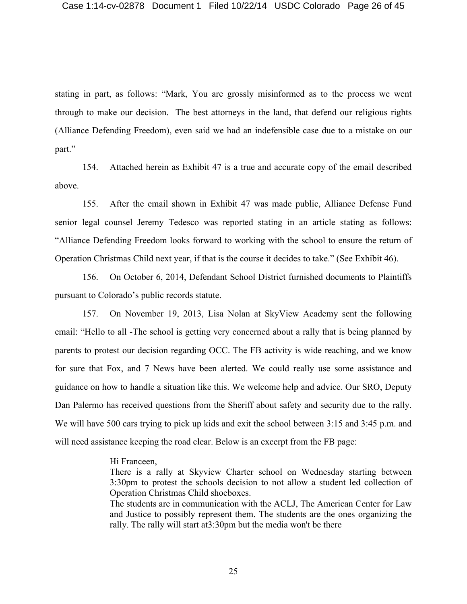stating in part, as follows: "Mark, You are grossly misinformed as to the process we went through to make our decision. The best attorneys in the land, that defend our religious rights (Alliance Defending Freedom), even said we had an indefensible case due to a mistake on our part."

154. Attached herein as Exhibit 47 is a true and accurate copy of the email described above.

155. After the email shown in Exhibit 47 was made public, Alliance Defense Fund senior legal counsel Jeremy Tedesco was reported stating in an article stating as follows: "Alliance Defending Freedom looks forward to working with the school to ensure the return of Operation Christmas Child next year, if that is the course it decides to take." (See Exhibit 46).

156. On October 6, 2014, Defendant School District furnished documents to Plaintiffs pursuant to Colorado's public records statute.

157. On November 19, 2013, Lisa Nolan at SkyView Academy sent the following email: "Hello to all -The school is getting very concerned about a rally that is being planned by parents to protest our decision regarding OCC. The FB activity is wide reaching, and we know for sure that Fox, and 7 News have been alerted. We could really use some assistance and guidance on how to handle a situation like this. We welcome help and advice. Our SRO, Deputy Dan Palermo has received questions from the Sheriff about safety and security due to the rally. We will have 500 cars trying to pick up kids and exit the school between 3:15 and 3:45 p.m. and will need assistance keeping the road clear. Below is an excerpt from the FB page:

### Hi Franceen,

There is a rally at Skyview Charter school on Wednesday starting between 3:30pm to protest the schools decision to not allow a student led collection of Operation Christmas Child shoeboxes.

The students are in communication with the ACLJ, The American Center for Law and Justice to possibly represent them. The students are the ones organizing the rally. The rally will start at3:30pm but the media won't be there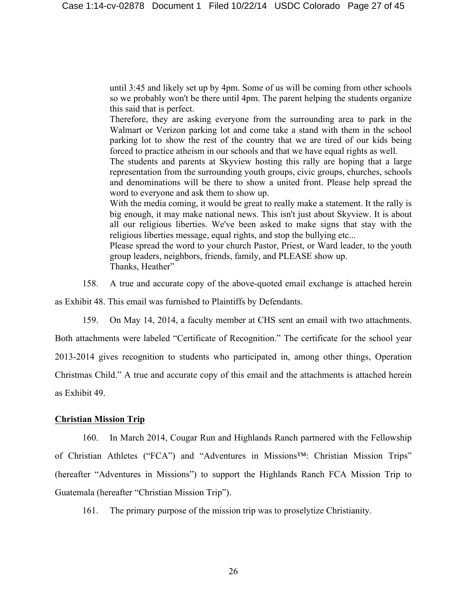until 3:45 and likely set up by 4pm. Some of us will be coming from other schools so we probably won't be there until 4pm. The parent helping the students organize this said that is perfect.

Therefore, they are asking everyone from the surrounding area to park in the Walmart or Verizon parking lot and come take a stand with them in the school parking lot to show the rest of the country that we are tired of our kids being forced to practice atheism in our schools and that we have equal rights as well.

The students and parents at Skyview hosting this rally are hoping that a large representation from the surrounding youth groups, civic groups, churches, schools and denominations will be there to show a united front. Please help spread the word to everyone and ask them to show up.

With the media coming, it would be great to really make a statement. It the rally is big enough, it may make national news. This isn't just about Skyview. It is about all our religious liberties. We've been asked to make signs that stay with the religious liberties message, equal rights, and stop the bullying etc...

Please spread the word to your church Pastor, Priest, or Ward leader, to the youth group leaders, neighbors, friends, family, and PLEASE show up. Thanks, Heather"

158. A true and accurate copy of the above-quoted email exchange is attached herein

as Exhibit 48. This email was furnished to Plaintiffs by Defendants.

159. On May 14, 2014, a faculty member at CHS sent an email with two attachments.

Both attachments were labeled "Certificate of Recognition." The certificate for the school year 2013-2014 gives recognition to students who participated in, among other things, Operation Christmas Child." A true and accurate copy of this email and the attachments is attached herein as Exhibit 49.

## **Christian Mission Trip**

160. In March 2014, Cougar Run and Highlands Ranch partnered with the Fellowship of Christian Athletes ("FCA") and "Adventures in Missions™: Christian Mission Trips" (hereafter "Adventures in Missions") to support the Highlands Ranch FCA Mission Trip to Guatemala (hereafter "Christian Mission Trip").

161. The primary purpose of the mission trip was to proselytize Christianity.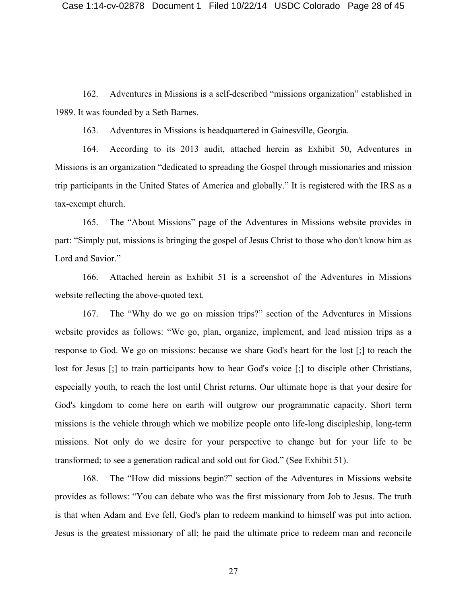162. Adventures in Missions is a self-described "missions organization" established in 1989. It was founded by a Seth Barnes.

163. Adventures in Missions is headquartered in Gainesville, Georgia.

164. According to its 2013 audit, attached herein as Exhibit 50, Adventures in Missions is an organization "dedicated to spreading the Gospel through missionaries and mission trip participants in the United States of America and globally." It is registered with the IRS as a tax-exempt church.

165. The "About Missions" page of the Adventures in Missions website provides in part: "Simply put, missions is bringing the gospel of Jesus Christ to those who don't know him as Lord and Savior."

166. Attached herein as Exhibit 51 is a screenshot of the Adventures in Missions website reflecting the above-quoted text.

167. The "Why do we go on mission trips?" section of the Adventures in Missions website provides as follows: "We go, plan, organize, implement, and lead mission trips as a response to God. We go on missions: because we share God's heart for the lost [;] to reach the lost for Jesus [;] to train participants how to hear God's voice [;] to disciple other Christians, especially youth, to reach the lost until Christ returns. Our ultimate hope is that your desire for God's kingdom to come here on earth will outgrow our programmatic capacity. Short term missions is the vehicle through which we mobilize people onto life-long discipleship, long-term missions. Not only do we desire for your perspective to change but for your life to be transformed; to see a generation radical and sold out for God." (See Exhibit 51).

168. The "How did missions begin?" section of the Adventures in Missions website provides as follows: "You can debate who was the first missionary from Job to Jesus. The truth is that when Adam and Eve fell, God's plan to redeem mankind to himself was put into action. Jesus is the greatest missionary of all; he paid the ultimate price to redeem man and reconcile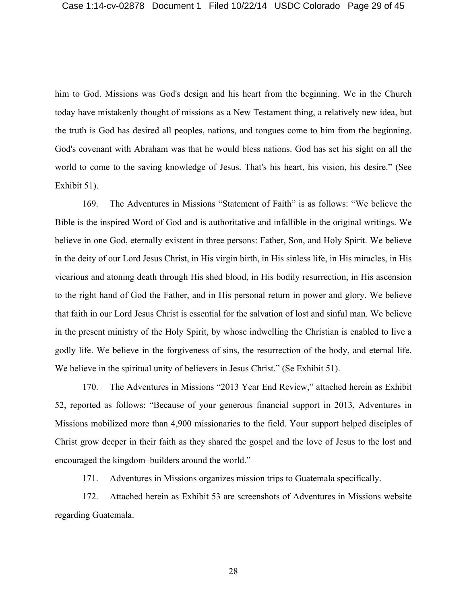him to God. Missions was God's design and his heart from the beginning. We in the Church today have mistakenly thought of missions as a New Testament thing, a relatively new idea, but the truth is God has desired all peoples, nations, and tongues come to him from the beginning. God's covenant with Abraham was that he would bless nations. God has set his sight on all the world to come to the saving knowledge of Jesus. That's his heart, his vision, his desire." (See Exhibit 51).

169. The Adventures in Missions "Statement of Faith" is as follows: "We believe the Bible is the inspired Word of God and is authoritative and infallible in the original writings. We believe in one God, eternally existent in three persons: Father, Son, and Holy Spirit. We believe in the deity of our Lord Jesus Christ, in His virgin birth, in His sinless life, in His miracles, in His vicarious and atoning death through His shed blood, in His bodily resurrection, in His ascension to the right hand of God the Father, and in His personal return in power and glory. We believe that faith in our Lord Jesus Christ is essential for the salvation of lost and sinful man. We believe in the present ministry of the Holy Spirit, by whose indwelling the Christian is enabled to live a godly life. We believe in the forgiveness of sins, the resurrection of the body, and eternal life. We believe in the spiritual unity of believers in Jesus Christ." (Se Exhibit 51).

170. The Adventures in Missions "2013 Year End Review," attached herein as Exhibit 52, reported as follows: "Because of your generous financial support in 2013, Adventures in Missions mobilized more than 4,900 missionaries to the field. Your support helped disciples of Christ grow deeper in their faith as they shared the gospel and the love of Jesus to the lost and encouraged the kingdom–builders around the world."

171. Adventures in Missions organizes mission trips to Guatemala specifically.

172. Attached herein as Exhibit 53 are screenshots of Adventures in Missions website regarding Guatemala.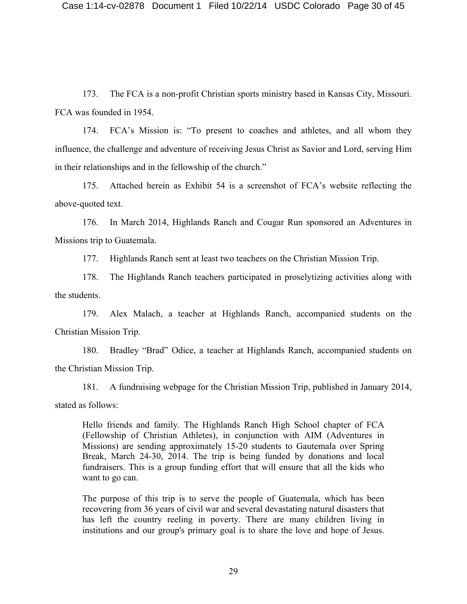173. The FCA is a non-profit Christian sports ministry based in Kansas City, Missouri. FCA was founded in 1954.

174. FCA's Mission is: "To present to coaches and athletes, and all whom they influence, the challenge and adventure of receiving Jesus Christ as Savior and Lord, serving Him in their relationships and in the fellowship of the church."

175. Attached herein as Exhibit 54 is a screenshot of FCA's website reflecting the above-quoted text.

176. In March 2014, Highlands Ranch and Cougar Run sponsored an Adventures in Missions trip to Guatemala.

177. Highlands Ranch sent at least two teachers on the Christian Mission Trip.

178. The Highlands Ranch teachers participated in proselytizing activities along with the students.

179. Alex Malach, a teacher at Highlands Ranch, accompanied students on the Christian Mission Trip.

180. Bradley "Brad" Odice, a teacher at Highlands Ranch, accompanied students on the Christian Mission Trip.

181. A fundraising webpage for the Christian Mission Trip, published in January 2014, stated as follows:

Hello friends and family. The Highlands Ranch High School chapter of FCA (Fellowship of Christian Athletes), in conjunction with AIM (Adventures in Missions) are sending approximately 15-20 students to Gautemala over Spring Break, March 24-30, 2014. The trip is being funded by donations and local fundraisers. This is a group funding effort that will ensure that all the kids who want to go can.

The purpose of this trip is to serve the people of Guatemala, which has been recovering from 36 years of civil war and several devastating natural disasters that has left the country reeling in poverty. There are many children living in institutions and our group's primary goal is to share the love and hope of Jesus.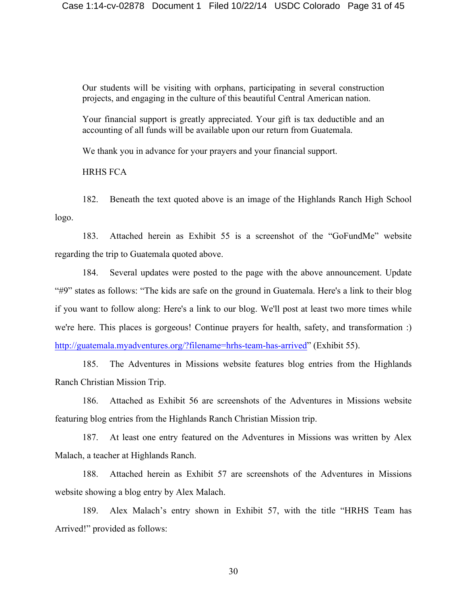Our students will be visiting with orphans, participating in several construction projects, and engaging in the culture of this beautiful Central American nation.

Your financial support is greatly appreciated. Your gift is tax deductible and an accounting of all funds will be available upon our return from Guatemala.

We thank you in advance for your prayers and your financial support.

HRHS FCA

182. Beneath the text quoted above is an image of the Highlands Ranch High School logo.

183. Attached herein as Exhibit 55 is a screenshot of the "GoFundMe" website regarding the trip to Guatemala quoted above.

184. Several updates were posted to the page with the above announcement. Update "#9" states as follows: "The kids are safe on the ground in Guatemala. Here's a link to their blog if you want to follow along: Here's a link to our blog. We'll post at least two more times while we're here. This places is gorgeous! Continue prayers for health, safety, and transformation :) http://guatemala.myadventures.org/?filename=hrhs-team-has-arrived" (Exhibit 55).

185. The Adventures in Missions website features blog entries from the Highlands Ranch Christian Mission Trip.

186. Attached as Exhibit 56 are screenshots of the Adventures in Missions website featuring blog entries from the Highlands Ranch Christian Mission trip.

187. At least one entry featured on the Adventures in Missions was written by Alex Malach, a teacher at Highlands Ranch.

188. Attached herein as Exhibit 57 are screenshots of the Adventures in Missions website showing a blog entry by Alex Malach.

189. Alex Malach's entry shown in Exhibit 57, with the title "HRHS Team has Arrived!" provided as follows: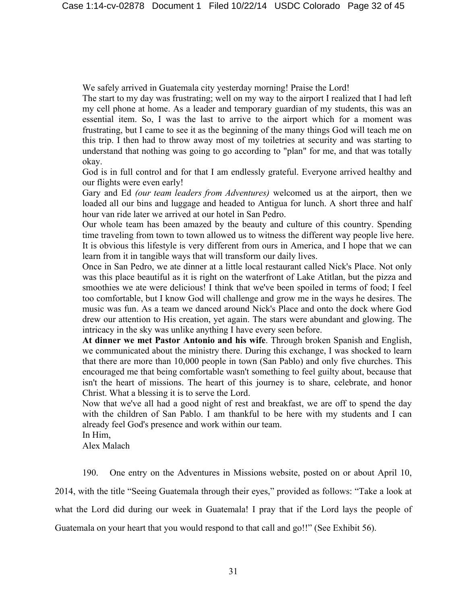We safely arrived in Guatemala city yesterday morning! Praise the Lord!

The start to my day was frustrating; well on my way to the airport I realized that I had left my cell phone at home. As a leader and temporary guardian of my students, this was an essential item. So, I was the last to arrive to the airport which for a moment was frustrating, but I came to see it as the beginning of the many things God will teach me on this trip. I then had to throw away most of my toiletries at security and was starting to understand that nothing was going to go according to "plan" for me, and that was totally okay.

God is in full control and for that I am endlessly grateful. Everyone arrived healthy and our flights were even early!

Gary and Ed *(our team leaders from Adventures)* welcomed us at the airport, then we loaded all our bins and luggage and headed to Antigua for lunch. A short three and half hour van ride later we arrived at our hotel in San Pedro.

Our whole team has been amazed by the beauty and culture of this country. Spending time traveling from town to town allowed us to witness the different way people live here. It is obvious this lifestyle is very different from ours in America, and I hope that we can learn from it in tangible ways that will transform our daily lives.

Once in San Pedro, we ate dinner at a little local restaurant called Nick's Place. Not only was this place beautiful as it is right on the waterfront of Lake Atitlan, but the pizza and smoothies we ate were delicious! I think that we've been spoiled in terms of food; I feel too comfortable, but I know God will challenge and grow me in the ways he desires. The music was fun. As a team we danced around Nick's Place and onto the dock where God drew our attention to His creation, yet again. The stars were abundant and glowing. The intricacy in the sky was unlike anything I have every seen before.

**At dinner we met Pastor Antonio and his wife**. Through broken Spanish and English, we communicated about the ministry there. During this exchange, I was shocked to learn that there are more than 10,000 people in town (San Pablo) and only five churches. This encouraged me that being comfortable wasn't something to feel guilty about, because that isn't the heart of missions. The heart of this journey is to share, celebrate, and honor Christ. What a blessing it is to serve the Lord.

Now that we've all had a good night of rest and breakfast, we are off to spend the day with the children of San Pablo. I am thankful to be here with my students and I can already feel God's presence and work within our team.

In Him,

Alex Malach

190. One entry on the Adventures in Missions website, posted on or about April 10,

2014, with the title "Seeing Guatemala through their eyes," provided as follows: "Take a look at

what the Lord did during our week in Guatemala! I pray that if the Lord lays the people of

Guatemala on your heart that you would respond to that call and go!!" (See Exhibit 56).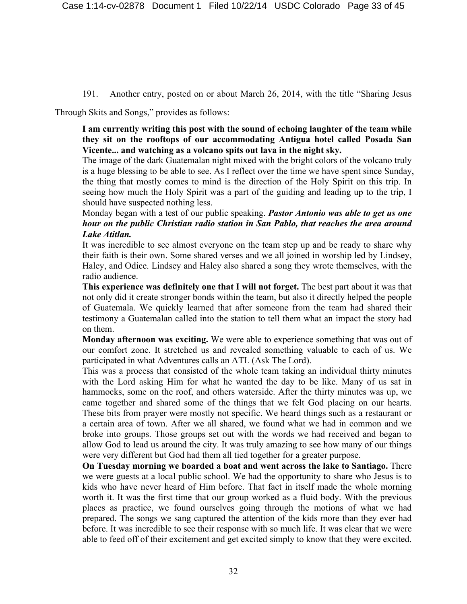191. Another entry, posted on or about March 26, 2014, with the title "Sharing Jesus

Through Skits and Songs," provides as follows:

**I am currently writing this post with the sound of echoing laughter of the team while they sit on the rooftops of our accommodating Antigua hotel called Posada San Vicente... and watching as a volcano spits out lava in the night sky.**

The image of the dark Guatemalan night mixed with the bright colors of the volcano truly is a huge blessing to be able to see. As I reflect over the time we have spent since Sunday, the thing that mostly comes to mind is the direction of the Holy Spirit on this trip. In seeing how much the Holy Spirit was a part of the guiding and leading up to the trip, I should have suspected nothing less.

Monday began with a test of our public speaking. *Pastor Antonio was able to get us one hour on the public Christian radio station in San Pablo, that reaches the area around Lake Atitlan.*

It was incredible to see almost everyone on the team step up and be ready to share why their faith is their own. Some shared verses and we all joined in worship led by Lindsey, Haley, and Odice. Lindsey and Haley also shared a song they wrote themselves, with the radio audience.

**This experience was definitely one that I will not forget.** The best part about it was that not only did it create stronger bonds within the team, but also it directly helped the people of Guatemala. We quickly learned that after someone from the team had shared their testimony a Guatemalan called into the station to tell them what an impact the story had on them.

**Monday afternoon was exciting.** We were able to experience something that was out of our comfort zone. It stretched us and revealed something valuable to each of us. We participated in what Adventures calls an ATL (Ask The Lord).

This was a process that consisted of the whole team taking an individual thirty minutes with the Lord asking Him for what he wanted the day to be like. Many of us sat in hammocks, some on the roof, and others waterside. After the thirty minutes was up, we came together and shared some of the things that we felt God placing on our hearts. These bits from prayer were mostly not specific. We heard things such as a restaurant or a certain area of town. After we all shared, we found what we had in common and we broke into groups. Those groups set out with the words we had received and began to allow God to lead us around the city. It was truly amazing to see how many of our things were very different but God had them all tied together for a greater purpose.

**On Tuesday morning we boarded a boat and went across the lake to Santiago.** There we were guests at a local public school. We had the opportunity to share who Jesus is to kids who have never heard of Him before. That fact in itself made the whole morning worth it. It was the first time that our group worked as a fluid body. With the previous places as practice, we found ourselves going through the motions of what we had prepared. The songs we sang captured the attention of the kids more than they ever had before. It was incredible to see their response with so much life. It was clear that we were able to feed off of their excitement and get excited simply to know that they were excited.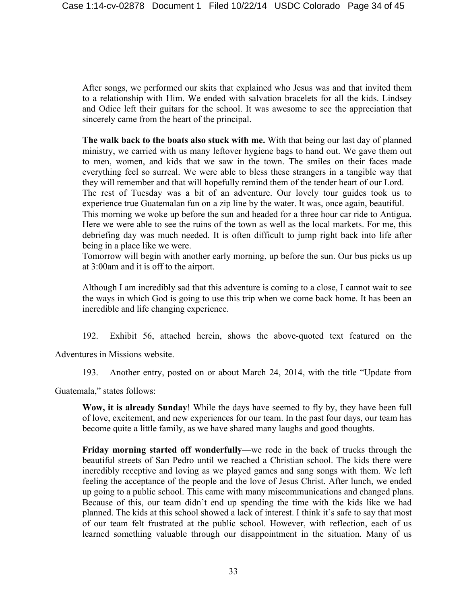After songs, we performed our skits that explained who Jesus was and that invited them to a relationship with Him. We ended with salvation bracelets for all the kids. Lindsey and Odice left their guitars for the school. It was awesome to see the appreciation that sincerely came from the heart of the principal.

**The walk back to the boats also stuck with me.** With that being our last day of planned ministry, we carried with us many leftover hygiene bags to hand out. We gave them out to men, women, and kids that we saw in the town. The smiles on their faces made everything feel so surreal. We were able to bless these strangers in a tangible way that they will remember and that will hopefully remind them of the tender heart of our Lord.

The rest of Tuesday was a bit of an adventure. Our lovely tour guides took us to experience true Guatemalan fun on a zip line by the water. It was, once again, beautiful.

This morning we woke up before the sun and headed for a three hour car ride to Antigua. Here we were able to see the ruins of the town as well as the local markets. For me, this debriefing day was much needed. It is often difficult to jump right back into life after being in a place like we were.

Tomorrow will begin with another early morning, up before the sun. Our bus picks us up at 3:00am and it is off to the airport.

Although I am incredibly sad that this adventure is coming to a close, I cannot wait to see the ways in which God is going to use this trip when we come back home. It has been an incredible and life changing experience.

192. Exhibit 56, attached herein, shows the above-quoted text featured on the

Adventures in Missions website.

193. Another entry, posted on or about March 24, 2014, with the title "Update from

Guatemala," states follows:

**Wow, it is already Sunday**! While the days have seemed to fly by, they have been full of love, excitement, and new experiences for our team. In the past four days, our team has become quite a little family, as we have shared many laughs and good thoughts.

**Friday morning started off wonderfully**—we rode in the back of trucks through the beautiful streets of San Pedro until we reached a Christian school. The kids there were incredibly receptive and loving as we played games and sang songs with them. We left feeling the acceptance of the people and the love of Jesus Christ. After lunch, we ended up going to a public school. This came with many miscommunications and changed plans. Because of this, our team didn't end up spending the time with the kids like we had planned. The kids at this school showed a lack of interest. I think it's safe to say that most of our team felt frustrated at the public school. However, with reflection, each of us learned something valuable through our disappointment in the situation. Many of us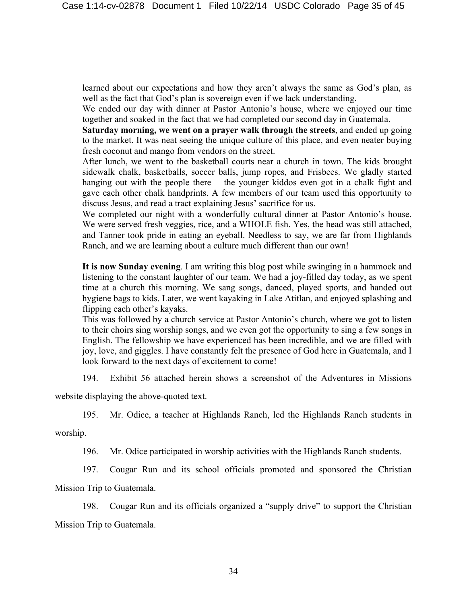learned about our expectations and how they aren't always the same as God's plan, as well as the fact that God's plan is sovereign even if we lack understanding.

We ended our day with dinner at Pastor Antonio's house, where we enjoyed our time together and soaked in the fact that we had completed our second day in Guatemala.

**Saturday morning, we went on a prayer walk through the streets**, and ended up going to the market. It was neat seeing the unique culture of this place, and even neater buying fresh coconut and mango from vendors on the street.

After lunch, we went to the basketball courts near a church in town. The kids brought sidewalk chalk, basketballs, soccer balls, jump ropes, and Frisbees. We gladly started hanging out with the people there— the younger kiddos even got in a chalk fight and gave each other chalk handprints. A few members of our team used this opportunity to discuss Jesus, and read a tract explaining Jesus' sacrifice for us.

We completed our night with a wonderfully cultural dinner at Pastor Antonio's house. We were served fresh veggies, rice, and a WHOLE fish. Yes, the head was still attached, and Tanner took pride in eating an eyeball. Needless to say, we are far from Highlands Ranch, and we are learning about a culture much different than our own!

**It is now Sunday evening**. I am writing this blog post while swinging in a hammock and listening to the constant laughter of our team. We had a joy-filled day today, as we spent time at a church this morning. We sang songs, danced, played sports, and handed out hygiene bags to kids. Later, we went kayaking in Lake Atitlan, and enjoyed splashing and flipping each other's kayaks.

This was followed by a church service at Pastor Antonio's church, where we got to listen to their choirs sing worship songs, and we even got the opportunity to sing a few songs in English. The fellowship we have experienced has been incredible, and we are filled with joy, love, and giggles. I have constantly felt the presence of God here in Guatemala, and I look forward to the next days of excitement to come!

194. Exhibit 56 attached herein shows a screenshot of the Adventures in Missions

website displaying the above-quoted text.

195. Mr. Odice, a teacher at Highlands Ranch, led the Highlands Ranch students in

worship.

196. Mr. Odice participated in worship activities with the Highlands Ranch students.

197. Cougar Run and its school officials promoted and sponsored the Christian

Mission Trip to Guatemala.

198. Cougar Run and its officials organized a "supply drive" to support the Christian Mission Trip to Guatemala.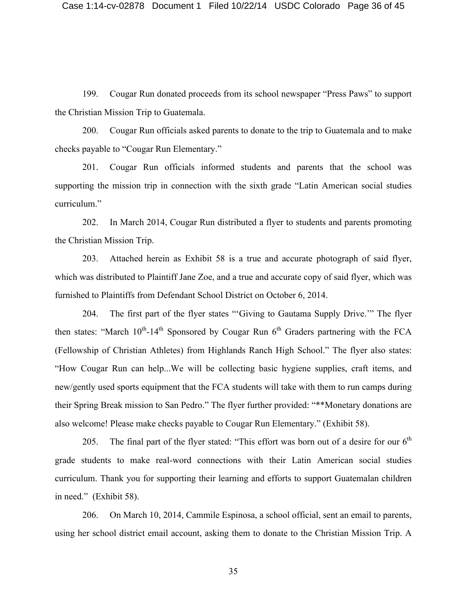199. Cougar Run donated proceeds from its school newspaper "Press Paws" to support the Christian Mission Trip to Guatemala.

200. Cougar Run officials asked parents to donate to the trip to Guatemala and to make checks payable to "Cougar Run Elementary."

201. Cougar Run officials informed students and parents that the school was supporting the mission trip in connection with the sixth grade "Latin American social studies curriculum."

202. In March 2014, Cougar Run distributed a flyer to students and parents promoting the Christian Mission Trip.

203. Attached herein as Exhibit 58 is a true and accurate photograph of said flyer, which was distributed to Plaintiff Jane Zoe, and a true and accurate copy of said flyer, which was furnished to Plaintiffs from Defendant School District on October 6, 2014.

204. The first part of the flyer states "'Giving to Gautama Supply Drive.'" The flyer then states: "March  $10^{th}$ -14<sup>th</sup> Sponsored by Cougar Run  $6^{th}$  Graders partnering with the FCA (Fellowship of Christian Athletes) from Highlands Ranch High School." The flyer also states: "How Cougar Run can help...We will be collecting basic hygiene supplies, craft items, and new/gently used sports equipment that the FCA students will take with them to run camps during their Spring Break mission to San Pedro." The flyer further provided: "\*\*Monetary donations are also welcome! Please make checks payable to Cougar Run Elementary." (Exhibit 58).

205. The final part of the flyer stated: "This effort was born out of a desire for our  $6<sup>th</sup>$ grade students to make real-word connections with their Latin American social studies curriculum. Thank you for supporting their learning and efforts to support Guatemalan children in need." (Exhibit 58).

206. On March 10, 2014, Cammile Espinosa, a school official, sent an email to parents, using her school district email account, asking them to donate to the Christian Mission Trip. A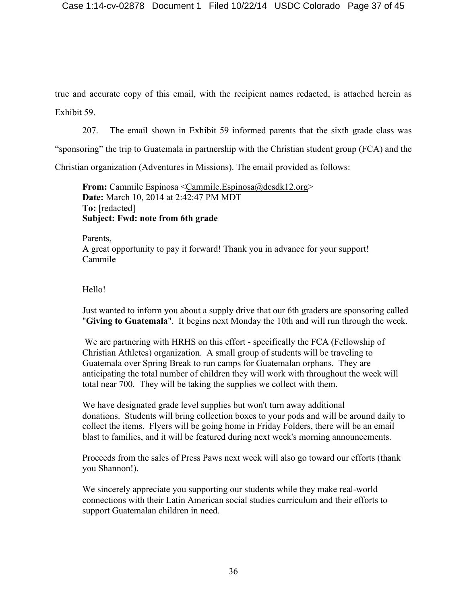true and accurate copy of this email, with the recipient names redacted, is attached herein as Exhibit 59.

207. The email shown in Exhibit 59 informed parents that the sixth grade class was

"sponsoring" the trip to Guatemala in partnership with the Christian student group (FCA) and the

Christian organization (Adventures in Missions). The email provided as follows:

**From:** Cammile Espinosa <Cammile.Espinosa@dcsdk12.org> **Date:** March 10, 2014 at 2:42:47 PM MDT **To:** [redacted] **Subject: Fwd: note from 6th grade**

Parents, A great opportunity to pay it forward! Thank you in advance for your support! Cammile

# Hello!

Just wanted to inform you about a supply drive that our 6th graders are sponsoring called "**Giving to Guatemala**". It begins next Monday the 10th and will run through the week.

We are partnering with HRHS on this effort - specifically the FCA (Fellowship of Christian Athletes) organization. A small group of students will be traveling to Guatemala over Spring Break to run camps for Guatemalan orphans. They are anticipating the total number of children they will work with throughout the week will total near 700. They will be taking the supplies we collect with them.

We have designated grade level supplies but won't turn away additional donations. Students will bring collection boxes to your pods and will be around daily to collect the items. Flyers will be going home in Friday Folders, there will be an email blast to families, and it will be featured during next week's morning announcements.

Proceeds from the sales of Press Paws next week will also go toward our efforts (thank you Shannon!).

We sincerely appreciate you supporting our students while they make real-world connections with their Latin American social studies curriculum and their efforts to support Guatemalan children in need.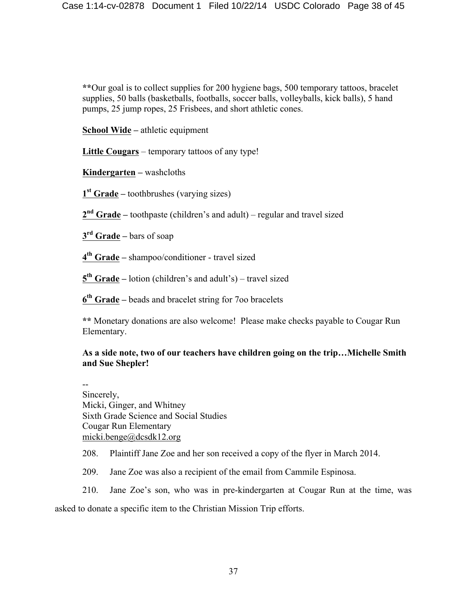**\*\***Our goal is to collect supplies for 200 hygiene bags, 500 temporary tattoos, bracelet supplies, 50 balls (basketballs, footballs, soccer balls, volleyballs, kick balls), 5 hand pumps, 25 jump ropes, 25 Frisbees, and short athletic cones.

**School Wide –** athletic equipment

**Little Cougars** – temporary tattoos of any type!

**Kindergarten –** washcloths

**1st Grade –** toothbrushes (varying sizes)

**2nd Grade –** toothpaste (children's and adult) – regular and travel sized

**3rd Grade –** bars of soap

**4th Grade –** shampoo/conditioner - travel sized

**5th Grade –** lotion (children's and adult's) – travel sized

**6th Grade –** beads and bracelet string for 7oo bracelets

**\*\*** Monetary donations are also welcome! Please make checks payable to Cougar Run Elementary.

# **As a side note, two of our teachers have children going on the trip…Michelle Smith and Sue Shepler!**

-- Sincerely, Micki, Ginger, and Whitney Sixth Grade Science and Social Studies Cougar Run Elementary micki.benge@dcsdk12.org

208. Plaintiff Jane Zoe and her son received a copy of the flyer in March 2014.

209. Jane Zoe was also a recipient of the email from Cammile Espinosa.

210. Jane Zoe's son, who was in pre-kindergarten at Cougar Run at the time, was asked to donate a specific item to the Christian Mission Trip efforts.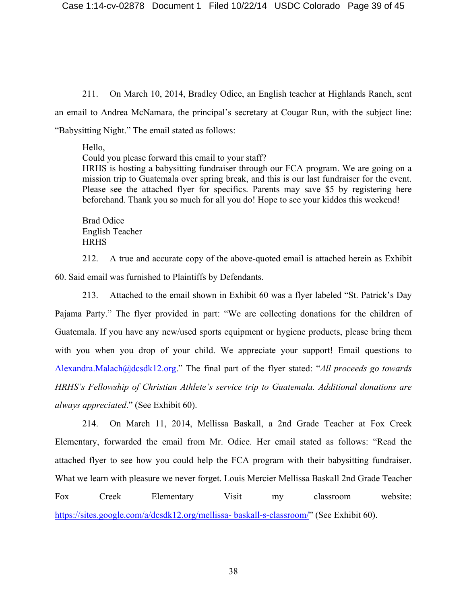211. On March 10, 2014, Bradley Odice, an English teacher at Highlands Ranch, sent an email to Andrea McNamara, the principal's secretary at Cougar Run, with the subject line: "Babysitting Night." The email stated as follows:

Hello,

Could you please forward this email to your staff? HRHS is hosting a babysitting fundraiser through our FCA program. We are going on a mission trip to Guatemala over spring break, and this is our last fundraiser for the event. Please see the attached flyer for specifics. Parents may save \$5 by registering here beforehand. Thank you so much for all you do! Hope to see your kiddos this weekend!

Brad Odice English Teacher **HRHS** 

212. A true and accurate copy of the above-quoted email is attached herein as Exhibit 60. Said email was furnished to Plaintiffs by Defendants.

213. Attached to the email shown in Exhibit 60 was a flyer labeled "St. Patrick's Day Pajama Party." The flyer provided in part: "We are collecting donations for the children of Guatemala. If you have any new/used sports equipment or hygiene products, please bring them with you when you drop of your child. We appreciate your support! Email questions to Alexandra.Malach@dcsdk12.org." The final part of the flyer stated: "*All proceeds go towards HRHS's Fellowship of Christian Athlete's service trip to Guatemala. Additional donations are always appreciated*." (See Exhibit 60).

214. On March 11, 2014, Mellissa Baskall, a 2nd Grade Teacher at Fox Creek Elementary, forwarded the email from Mr. Odice. Her email stated as follows: "Read the attached flyer to see how you could help the FCA program with their babysitting fundraiser. What we learn with pleasure we never forget. Louis Mercier Mellissa Baskall 2nd Grade Teacher Fox Creek Elementary Visit my classroom website: https://sites.google.com/a/dcsdk12.org/mellissa- baskall-s-classroom/" (See Exhibit 60).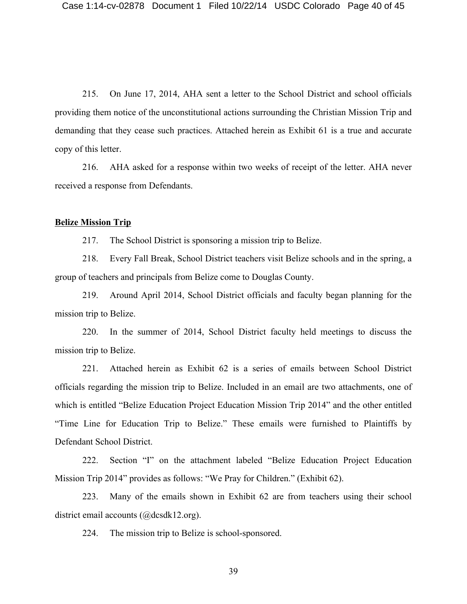215. On June 17, 2014, AHA sent a letter to the School District and school officials providing them notice of the unconstitutional actions surrounding the Christian Mission Trip and demanding that they cease such practices. Attached herein as Exhibit 61 is a true and accurate copy of this letter.

216. AHA asked for a response within two weeks of receipt of the letter. AHA never received a response from Defendants.

#### **Belize Mission Trip**

217. The School District is sponsoring a mission trip to Belize.

218. Every Fall Break, School District teachers visit Belize schools and in the spring, a group of teachers and principals from Belize come to Douglas County.

219. Around April 2014, School District officials and faculty began planning for the mission trip to Belize.

220. In the summer of 2014, School District faculty held meetings to discuss the mission trip to Belize.

221. Attached herein as Exhibit 62 is a series of emails between School District officials regarding the mission trip to Belize. Included in an email are two attachments, one of which is entitled "Belize Education Project Education Mission Trip 2014" and the other entitled "Time Line for Education Trip to Belize." These emails were furnished to Plaintiffs by Defendant School District.

222. Section "I" on the attachment labeled "Belize Education Project Education Mission Trip 2014" provides as follows: "We Pray for Children." (Exhibit 62).

223. Many of the emails shown in Exhibit 62 are from teachers using their school district email accounts (@dcsdk12.org).

224. The mission trip to Belize is school-sponsored.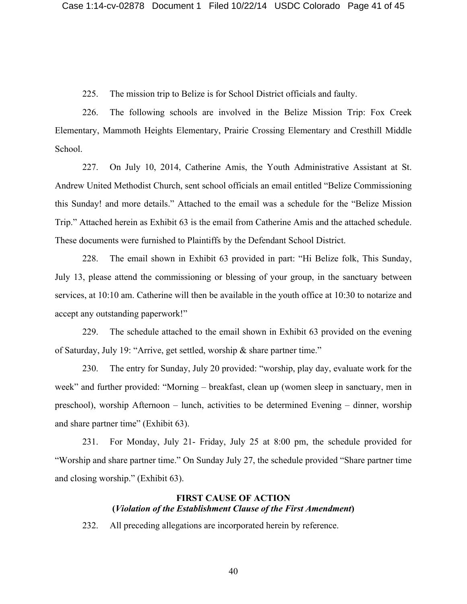225. The mission trip to Belize is for School District officials and faulty.

226. The following schools are involved in the Belize Mission Trip: Fox Creek Elementary, Mammoth Heights Elementary, Prairie Crossing Elementary and Cresthill Middle School.

227. On July 10, 2014, Catherine Amis, the Youth Administrative Assistant at St. Andrew United Methodist Church, sent school officials an email entitled "Belize Commissioning this Sunday! and more details." Attached to the email was a schedule for the "Belize Mission Trip." Attached herein as Exhibit 63 is the email from Catherine Amis and the attached schedule. These documents were furnished to Plaintiffs by the Defendant School District.

228. The email shown in Exhibit 63 provided in part: "Hi Belize folk, This Sunday, July 13, please attend the commissioning or blessing of your group, in the sanctuary between services, at 10:10 am. Catherine will then be available in the youth office at 10:30 to notarize and accept any outstanding paperwork!"

229. The schedule attached to the email shown in Exhibit 63 provided on the evening of Saturday, July 19: "Arrive, get settled, worship & share partner time."

230. The entry for Sunday, July 20 provided: "worship, play day, evaluate work for the week" and further provided: "Morning – breakfast, clean up (women sleep in sanctuary, men in preschool), worship Afternoon – lunch, activities to be determined Evening – dinner, worship and share partner time" (Exhibit 63).

231. For Monday, July 21- Friday, July 25 at 8:00 pm, the schedule provided for "Worship and share partner time." On Sunday July 27, the schedule provided "Share partner time and closing worship." (Exhibit 63).

## **FIRST CAUSE OF ACTION (***Violation of the Establishment Clause of the First Amendment***)**

232. All preceding allegations are incorporated herein by reference.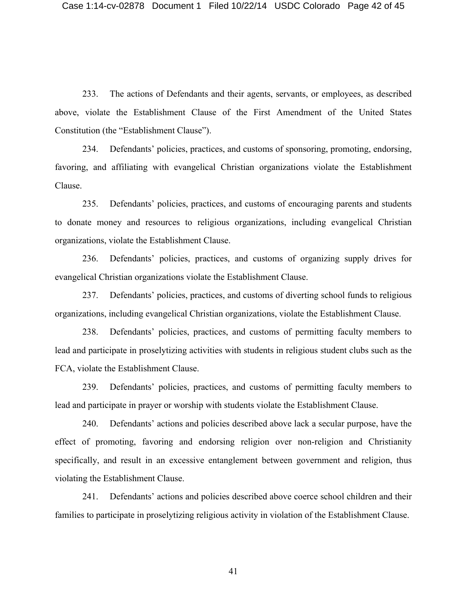233. The actions of Defendants and their agents, servants, or employees, as described above, violate the Establishment Clause of the First Amendment of the United States Constitution (the "Establishment Clause").

234. Defendants' policies, practices, and customs of sponsoring, promoting, endorsing, favoring, and affiliating with evangelical Christian organizations violate the Establishment Clause.

235. Defendants' policies, practices, and customs of encouraging parents and students to donate money and resources to religious organizations, including evangelical Christian organizations, violate the Establishment Clause.

236. Defendants' policies, practices, and customs of organizing supply drives for evangelical Christian organizations violate the Establishment Clause.

237. Defendants' policies, practices, and customs of diverting school funds to religious organizations, including evangelical Christian organizations, violate the Establishment Clause.

238. Defendants' policies, practices, and customs of permitting faculty members to lead and participate in proselytizing activities with students in religious student clubs such as the FCA, violate the Establishment Clause.

239. Defendants' policies, practices, and customs of permitting faculty members to lead and participate in prayer or worship with students violate the Establishment Clause.

240. Defendants' actions and policies described above lack a secular purpose, have the effect of promoting, favoring and endorsing religion over non-religion and Christianity specifically, and result in an excessive entanglement between government and religion, thus violating the Establishment Clause.

241. Defendants' actions and policies described above coerce school children and their families to participate in proselytizing religious activity in violation of the Establishment Clause.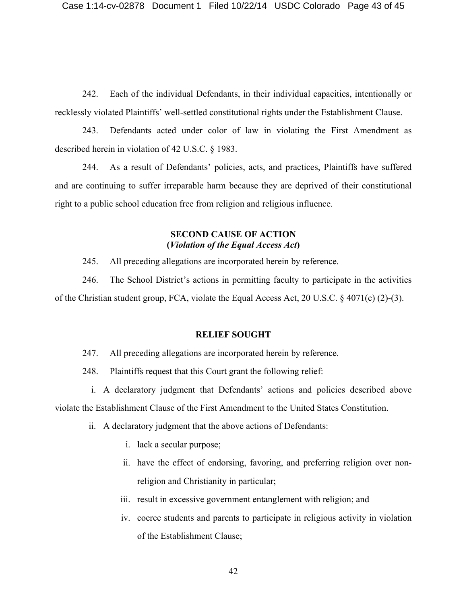242. Each of the individual Defendants, in their individual capacities, intentionally or recklessly violated Plaintiffs' well-settled constitutional rights under the Establishment Clause.

243. Defendants acted under color of law in violating the First Amendment as described herein in violation of 42 U.S.C. § 1983.

244. As a result of Defendants' policies, acts, and practices, Plaintiffs have suffered and are continuing to suffer irreparable harm because they are deprived of their constitutional right to a public school education free from religion and religious influence.

### **SECOND CAUSE OF ACTION (***Violation of the Equal Access Act***)**

245. All preceding allegations are incorporated herein by reference.

246. The School District's actions in permitting faculty to participate in the activities of the Christian student group, FCA, violate the Equal Access Act, 20 U.S.C. § 4071(c) (2)-(3).

#### **RELIEF SOUGHT**

247. All preceding allegations are incorporated herein by reference.

248. Plaintiffs request that this Court grant the following relief:

i. A declaratory judgment that Defendants' actions and policies described above violate the Establishment Clause of the First Amendment to the United States Constitution.

- ii. A declaratory judgment that the above actions of Defendants:
	- i. lack a secular purpose;
	- ii. have the effect of endorsing, favoring, and preferring religion over nonreligion and Christianity in particular;
	- iii. result in excessive government entanglement with religion; and
	- iv. coerce students and parents to participate in religious activity in violation of the Establishment Clause;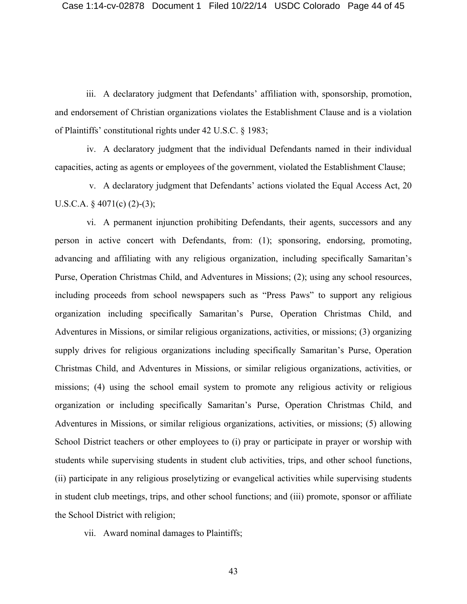iii. A declaratory judgment that Defendants' affiliation with, sponsorship, promotion, and endorsement of Christian organizations violates the Establishment Clause and is a violation of Plaintiffs' constitutional rights under 42 U.S.C. § 1983;

iv. A declaratory judgment that the individual Defendants named in their individual capacities, acting as agents or employees of the government, violated the Establishment Clause;

v. A declaratory judgment that Defendants' actions violated the Equal Access Act, 20 U.S.C.A.  $\S$  4071(c) (2)-(3);

vi. A permanent injunction prohibiting Defendants, their agents, successors and any person in active concert with Defendants, from: (1); sponsoring, endorsing, promoting, advancing and affiliating with any religious organization, including specifically Samaritan's Purse, Operation Christmas Child, and Adventures in Missions; (2); using any school resources, including proceeds from school newspapers such as "Press Paws" to support any religious organization including specifically Samaritan's Purse, Operation Christmas Child, and Adventures in Missions, or similar religious organizations, activities, or missions; (3) organizing supply drives for religious organizations including specifically Samaritan's Purse, Operation Christmas Child, and Adventures in Missions, or similar religious organizations, activities, or missions; (4) using the school email system to promote any religious activity or religious organization or including specifically Samaritan's Purse, Operation Christmas Child, and Adventures in Missions, or similar religious organizations, activities, or missions; (5) allowing School District teachers or other employees to (i) pray or participate in prayer or worship with students while supervising students in student club activities, trips, and other school functions, (ii) participate in any religious proselytizing or evangelical activities while supervising students in student club meetings, trips, and other school functions; and (iii) promote, sponsor or affiliate the School District with religion;

vii. Award nominal damages to Plaintiffs;